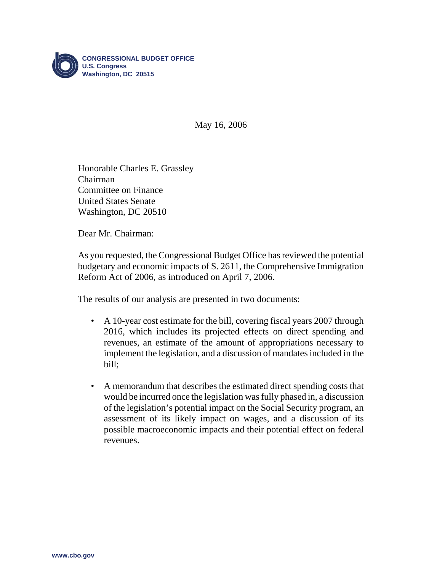

May 16, 2006

Honorable Charles E. Grassley Chairman Committee on Finance United States Senate Washington, DC 20510

Dear Mr. Chairman:

As you requested, the Congressional Budget Office has reviewed the potential budgetary and economic impacts of S. 2611, the Comprehensive Immigration Reform Act of 2006, as introduced on April 7, 2006.

The results of our analysis are presented in two documents:

- A 10-year cost estimate for the bill, covering fiscal years 2007 through 2016, which includes its projected effects on direct spending and revenues, an estimate of the amount of appropriations necessary to implement the legislation, and a discussion of mandates included in the bill;
- A memorandum that describes the estimated direct spending costs that would be incurred once the legislation was fully phased in, a discussion of the legislation's potential impact on the Social Security program, an assessment of its likely impact on wages, and a discussion of its possible macroeconomic impacts and their potential effect on federal revenues.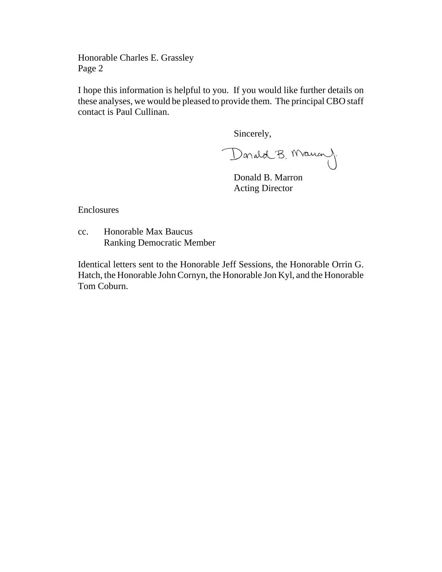Honorable Charles E. Grassley Page 2

I hope this information is helpful to you. If you would like further details on these analyses, we would be pleased to provide them. The principal CBO staff contact is Paul Cullinan.

Sincerely,

Donald B. Maum).

Donald B. Marron Acting Director

Enclosures

cc. Honorable Max Baucus Ranking Democratic Member

Identical letters sent to the Honorable Jeff Sessions, the Honorable Orrin G. Hatch, the Honorable John Cornyn, the Honorable Jon Kyl, and the Honorable Tom Coburn.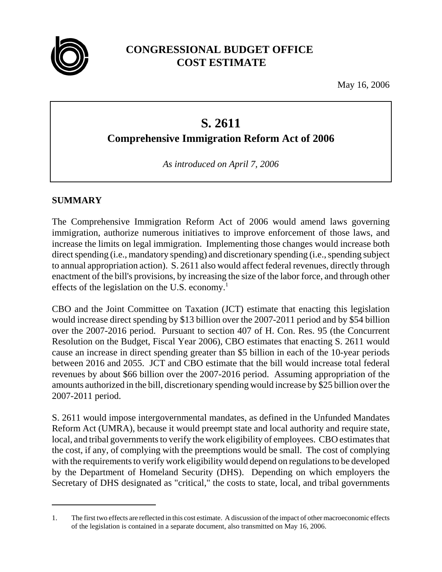

# **CONGRESSIONAL BUDGET OFFICE COST ESTIMATE**

May 16, 2006

# **S. 2611**

**Comprehensive Immigration Reform Act of 2006**

*As introduced on April 7, 2006*

# **SUMMARY**

The Comprehensive Immigration Reform Act of 2006 would amend laws governing immigration, authorize numerous initiatives to improve enforcement of those laws, and increase the limits on legal immigration. Implementing those changes would increase both direct spending (i.e., mandatory spending) and discretionary spending (i.e., spending subject to annual appropriation action). S. 2611 also would affect federal revenues, directly through enactment of the bill's provisions, by increasing the size of the labor force, and through other effects of the legislation on the U.S. economy.<sup>1</sup>

CBO and the Joint Committee on Taxation (JCT) estimate that enacting this legislation would increase direct spending by \$13 billion over the 2007-2011 period and by \$54 billion over the 2007-2016 period. Pursuant to section 407 of H. Con. Res. 95 (the Concurrent Resolution on the Budget, Fiscal Year 2006), CBO estimates that enacting S. 2611 would cause an increase in direct spending greater than \$5 billion in each of the 10-year periods between 2016 and 2055. JCT and CBO estimate that the bill would increase total federal revenues by about \$66 billion over the 2007-2016 period. Assuming appropriation of the amounts authorized in the bill, discretionary spending would increase by \$25 billion over the 2007-2011 period.

S. 2611 would impose intergovernmental mandates, as defined in the Unfunded Mandates Reform Act (UMRA), because it would preempt state and local authority and require state, local, and tribal governments to verify the work eligibility of employees. CBO estimates that the cost, if any, of complying with the preemptions would be small. The cost of complying with the requirements to verify work eligibility would depend on regulations to be developed by the Department of Homeland Security (DHS). Depending on which employers the Secretary of DHS designated as "critical," the costs to state, local, and tribal governments

<sup>1.</sup> The first two effects are reflected in this cost estimate. A discussion of the impact of other macroeconomic effects of the legislation is contained in a separate document, also transmitted on May 16, 2006.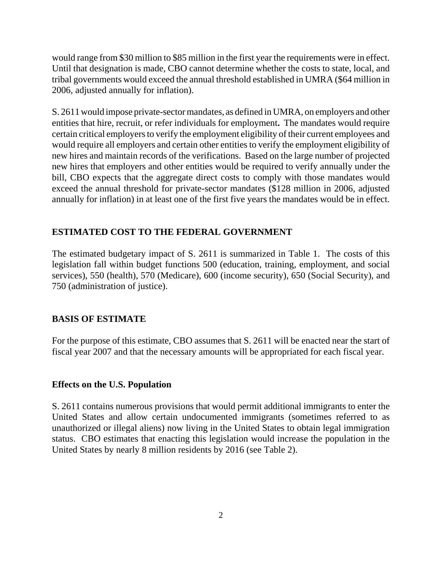would range from \$30 million to \$85 million in the first year the requirements were in effect. Until that designation is made, CBO cannot determine whether the costs to state, local, and tribal governments would exceed the annual threshold established in UMRA (\$64 million in 2006, adjusted annually for inflation).

S. 2611 would impose private-sector mandates, as defined in UMRA, on employers and other entities that hire, recruit, or refer individuals for employment**.** The mandates would require certain critical employers to verify the employment eligibility of their current employees and would require all employers and certain other entities to verify the employment eligibility of new hires and maintain records of the verifications. Based on the large number of projected new hires that employers and other entities would be required to verify annually under the bill, CBO expects that the aggregate direct costs to comply with those mandates would exceed the annual threshold for private-sector mandates (\$128 million in 2006, adjusted annually for inflation) in at least one of the first five years the mandates would be in effect.

# **ESTIMATED COST TO THE FEDERAL GOVERNMENT**

The estimated budgetary impact of S. 2611 is summarized in Table 1. The costs of this legislation fall within budget functions 500 (education, training, employment, and social services), 550 (health), 570 (Medicare), 600 (income security), 650 (Social Security), and 750 (administration of justice).

# **BASIS OF ESTIMATE**

For the purpose of this estimate, CBO assumes that S. 2611 will be enacted near the start of fiscal year 2007 and that the necessary amounts will be appropriated for each fiscal year.

### **Effects on the U.S. Population**

S. 2611 contains numerous provisions that would permit additional immigrants to enter the United States and allow certain undocumented immigrants (sometimes referred to as unauthorized or illegal aliens) now living in the United States to obtain legal immigration status. CBO estimates that enacting this legislation would increase the population in the United States by nearly 8 million residents by 2016 (see Table 2).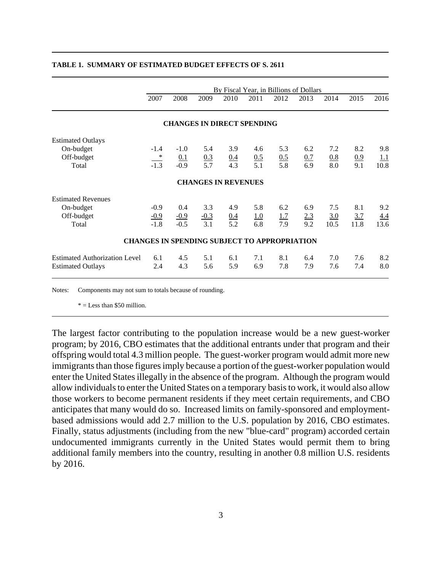|                                      |                            |        |                                                     |                   |                   | By Fiscal Year, in Billions of Dollars |      |      |                   |            |
|--------------------------------------|----------------------------|--------|-----------------------------------------------------|-------------------|-------------------|----------------------------------------|------|------|-------------------|------------|
|                                      | 2007                       | 2008   | 2009                                                | 2010              | 2011              | 2012                                   | 2013 | 2014 | 2015              | 2016       |
|                                      |                            |        | <b>CHANGES IN DIRECT SPENDING</b>                   |                   |                   |                                        |      |      |                   |            |
| <b>Estimated Outlays</b>             |                            |        |                                                     |                   |                   |                                        |      |      |                   |            |
| On-budget                            | $-1.4$                     | $-1.0$ | 5.4                                                 | 3.9               | 4.6               | 5.3                                    | 6.2  | 7.2  | 8.2               | 9.8        |
| Off-budget                           | $\overline{\phantom{a}}^*$ | 0.1    |                                                     |                   |                   |                                        | 0.7  | 0.8  |                   | <u>1.1</u> |
| Total                                | $-1.3$                     | $-0.9$ | $\frac{0.3}{5.7}$                                   | $\frac{0.4}{4.3}$ | $\frac{0.5}{5.1}$ | $\frac{0.5}{5.8}$                      | 6.9  | 8.0  | $\frac{0.9}{9.1}$ | 10.8       |
|                                      |                            |        | <b>CHANGES IN REVENUES</b>                          |                   |                   |                                        |      |      |                   |            |
| <b>Estimated Revenues</b>            |                            |        |                                                     |                   |                   |                                        |      |      |                   |            |
| On-budget                            | $-0.9$                     | 0.4    | 3.3                                                 | 4.9               | 5.8               | 6.2                                    | 6.9  | 7.5  | 8.1               | 9.2        |
| Off-budget                           | $-0.9$                     | $-0.9$ | $-0.3$                                              | 0.4               | 1.0               | 1.7                                    | 2.3  | 3.0  | 3.7               | 4.4        |
| Total                                | $-1.8$                     | $-0.5$ | 3.1                                                 | 5.2               | 6.8               | 7.9                                    | 9.2  | 10.5 | 11.8              | 13.6       |
|                                      |                            |        | <b>CHANGES IN SPENDING SUBJECT TO APPROPRIATION</b> |                   |                   |                                        |      |      |                   |            |
| <b>Estimated Authorization Level</b> | 6.1                        | 4.5    | 5.1                                                 | 6.1               | 7.1               | 8.1                                    | 6.4  | 7.0  | 7.6               | 8.2        |
| <b>Estimated Outlays</b>             | 2.4                        | 4.3    | 5.6                                                 | 5.9               | 6.9               | 7.8                                    | 7.9  | 7.6  | 7.4               | 8.0        |

#### **TABLE 1. SUMMARY OF ESTIMATED BUDGET EFFECTS OF S. 2611**

Notes: Components may not sum to totals because of rounding.

 $* =$  Less than \$50 million.

The largest factor contributing to the population increase would be a new guest-worker program; by 2016, CBO estimates that the additional entrants under that program and their offspring would total 4.3 million people. The guest-worker program would admit more new immigrants than those figures imply because a portion of the guest-worker population would enter the United States illegally in the absence of the program. Although the program would allow individuals to enter the United States on a temporary basis to work, it would also allow those workers to become permanent residents if they meet certain requirements, and CBO anticipates that many would do so. Increased limits on family-sponsored and employmentbased admissions would add 2.7 million to the U.S. population by 2016, CBO estimates. Finally, status adjustments (including from the new "blue-card" program) accorded certain undocumented immigrants currently in the United States would permit them to bring additional family members into the country, resulting in another 0.8 million U.S. residents by 2016.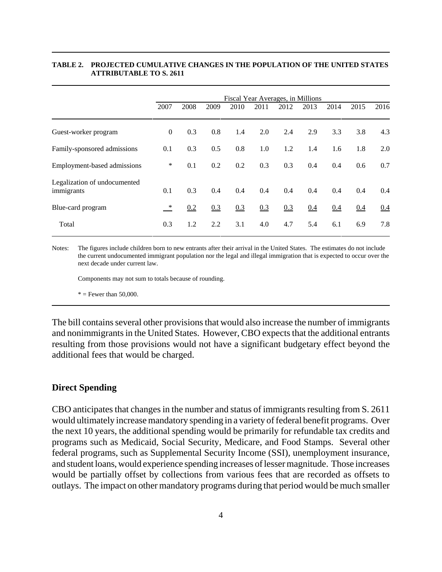#### **TABLE 2. PROJECTED CUMULATIVE CHANGES IN THE POPULATION OF THE UNITED STATES ATTRIBUTABLE TO S. 2611**

|                                            | Fiscal Year Averages, in Millions |      |      |      |      |      |      |      |      |      |
|--------------------------------------------|-----------------------------------|------|------|------|------|------|------|------|------|------|
|                                            | 2007                              | 2008 | 2009 | 2010 | 2011 | 2012 | 2013 | 2014 | 2015 | 2016 |
| Guest-worker program                       | $\mathbf{0}$                      | 0.3  | 0.8  | 1.4  | 2.0  | 2.4  | 2.9  | 3.3  | 3.8  | 4.3  |
| Family-sponsored admissions                | 0.1                               | 0.3  | 0.5  | 0.8  | 1.0  | 1.2  | 1.4  | 1.6  | 1.8  | 2.0  |
| Employment-based admissions                | ∗                                 | 0.1  | 0.2  | 0.2  | 0.3  | 0.3  | 0.4  | 0.4  | 0.6  | 0.7  |
| Legalization of undocumented<br>immigrants | 0.1                               | 0.3  | 0.4  | 0.4  | 0.4  | 0.4  | 0.4  | 0.4  | 0.4  | 0.4  |
| Blue-card program                          | $\ast$                            | 0.2  | 0.3  | 0.3  | 0.3  | 0.3  | 0.4  | 0.4  | 0.4  | 0.4  |
| Total                                      | 0.3                               | 1.2  | 2.2  | 3.1  | 4.0  | 4.7  | 5.4  | 6.1  | 6.9  | 7.8  |

Notes: The figures include children born to new entrants after their arrival in the United States. The estimates do not include the current undocumented immigrant population nor the legal and illegal immigration that is expected to occur over the next decade under current law.

Components may not sum to totals because of rounding.

 $*$  = Fewer than 50,000.

The bill contains several other provisions that would also increase the number of immigrants and nonimmigrants in the United States. However, CBO expects that the additional entrants resulting from those provisions would not have a significant budgetary effect beyond the additional fees that would be charged.

#### **Direct Spending**

CBO anticipates that changes in the number and status of immigrants resulting from S. 2611 would ultimately increase mandatory spending in a variety of federal benefit programs. Over the next 10 years, the additional spending would be primarily for refundable tax credits and programs such as Medicaid, Social Security, Medicare, and Food Stamps. Several other federal programs, such as Supplemental Security Income (SSI), unemployment insurance, and student loans, would experience spending increases of lesser magnitude. Those increases would be partially offset by collections from various fees that are recorded as offsets to outlays. The impact on other mandatory programs during that period would be much smaller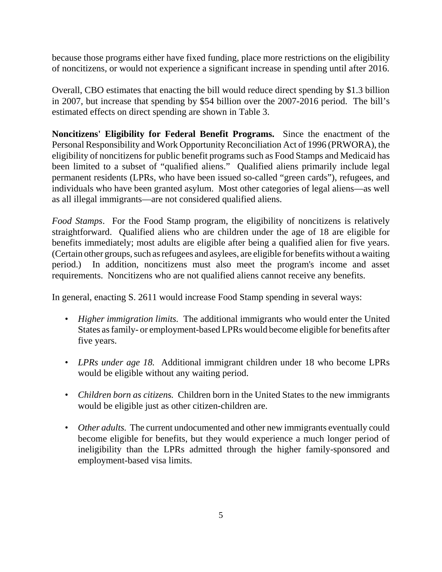because those programs either have fixed funding, place more restrictions on the eligibility of noncitizens, or would not experience a significant increase in spending until after 2016.

Overall, CBO estimates that enacting the bill would reduce direct spending by \$1.3 billion in 2007, but increase that spending by \$54 billion over the 2007-2016 period. The bill's estimated effects on direct spending are shown in Table 3.

**Noncitizens' Eligibility for Federal Benefit Programs.** Since the enactment of the Personal Responsibility and Work Opportunity Reconciliation Act of 1996 (PRWORA), the eligibility of noncitizens for public benefit programs such as Food Stamps and Medicaid has been limited to a subset of "qualified aliens." Qualified aliens primarily include legal permanent residents (LPRs, who have been issued so-called "green cards"), refugees, and individuals who have been granted asylum. Most other categories of legal aliens—as well as all illegal immigrants—are not considered qualified aliens.

*Food Stamps*. For the Food Stamp program, the eligibility of noncitizens is relatively straightforward. Qualified aliens who are children under the age of 18 are eligible for benefits immediately; most adults are eligible after being a qualified alien for five years. (Certain other groups, such as refugees and asylees, are eligible for benefits without a waiting period.) In addition, noncitizens must also meet the program's income and asset requirements. Noncitizens who are not qualified aliens cannot receive any benefits.

In general, enacting S. 2611 would increase Food Stamp spending in several ways:

- *Higher immigration limits.* The additional immigrants who would enter the United States as family- or employment-based LPRs would become eligible for benefits after five years.
- *LPRs under age 18.* Additional immigrant children under 18 who become LPRs would be eligible without any waiting period.
- *Children born as citizens.* Children born in the United States to the new immigrants would be eligible just as other citizen-children are.
- *Other adults.* The current undocumented and other new immigrants eventually could become eligible for benefits, but they would experience a much longer period of ineligibility than the LPRs admitted through the higher family-sponsored and employment-based visa limits.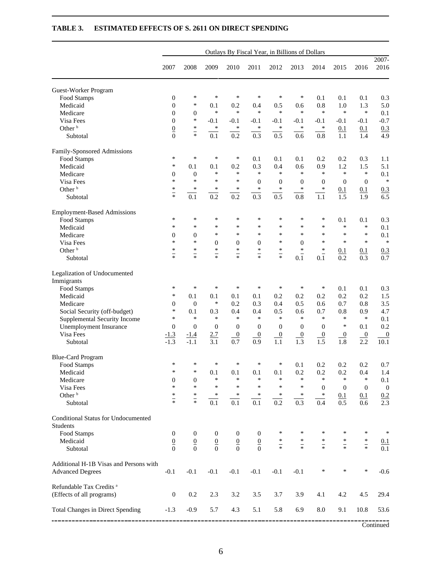| 2016<br>2007<br>2008<br>2009<br>2010<br>2011<br>2012<br>2013<br>2014<br>2015<br>Guest-Worker Program<br>$\ast$<br>$\ast$<br>$\ast$<br>$\ast$<br>$\ast$<br>$\boldsymbol{0}$<br>∗<br>Food Stamps<br>0.1<br>0.1<br>0.1<br>$\mathbf{0}$<br>$\ast$<br>0.1<br>0.5<br>0.8<br>1.3<br>5.0<br>Medicaid<br>0.2<br>0.4<br>0.6<br>1.0<br>$\ast$<br>$\ast$<br>$\ast$<br>$\ast$<br>$\ast$<br>$\ast$<br>$\ast$<br>$\ast$<br>Medicare<br>$\mathbf{0}$<br>$\boldsymbol{0}$<br>0.1<br>$\ast$<br>$-0.7$<br>$\overline{0}$<br>Visa Fees<br>$-0.1$<br>$-0.1$<br>$-0.1$<br>$-0.1$<br>$-0.1$<br>$-0.1$<br>$-0.1$<br>$-0.1$<br>Other <sup>b</sup><br>$\ast$<br>$\frac{0}{0}$<br>$\ast$<br>$\ast$<br>$\ast$<br>$\ast$<br>$\ast$<br>$\ast$<br>0.1<br>0.3<br>0.1<br>$\frac{1}{2}$<br>0.2<br>0.3<br>0.5<br>0.6<br>0.8<br>0.1<br>1.1<br>1.4<br>Subtotal<br>Family-Sponsored Admissions<br>$\ast$<br>$\ast$<br>$\ast$<br>∗<br>0.1<br>0.1<br>0.1<br>0.2<br>0.2<br>0.3<br>1.1<br>Food Stamps<br>0.3<br>∗<br>0.2<br>0.4<br>0.6<br>0.9<br>1.2<br>1.5<br>5.1<br>Medicaid<br>0.1<br>0.1<br>$\ast$<br>$\ast$<br>$\ast$<br>$\ast$<br>$\ast$<br>$\ast$<br>$\ast$<br>$\ast$<br>Medicare<br>$\mathbf{0}$<br>0.1<br>$\mathbf{0}$<br>$\ast$<br>$\ast$<br>Visa Fees<br>$\ast$<br>$\ast$<br>∗<br>$\mathbf{0}$<br>$\mathbf{0}$<br>$\mathbf{0}$<br>$\boldsymbol{0}$<br>$\mathbf{0}$<br>$\mathbf{0}$<br>Other <sup>b</sup><br>$\ast$<br>$\ast$<br>$\ast$<br>∗<br>$\ast$<br>$\ast$<br>$\ast$<br>$\ast$<br>0.1<br>0.3<br>0.1<br>$\overline{\phantom{0}}$<br>0.5<br>$\overline{0.2}$<br>$\overline{0.3}$<br>0.1<br>0.2<br>0.8<br>1.1<br>6.5<br>1.5<br>1.9<br>Subtotal<br><b>Employment-Based Admissions</b><br>∗<br>*<br>$\ast$<br>*<br>∗<br>*<br>*<br>∗<br>0.3<br>Food Stamps<br>0.1<br>0.1<br>*<br>$\ast$<br>$\ast$<br>*<br>$\ast$<br>$\ast$<br>$\ast$<br>*<br>*<br>*<br>0.1<br>Medicaid<br>$\ast$<br>$\ast$<br>$\ast$<br>*<br>*<br>*<br>*<br>*<br>Medicare<br>$\overline{0}$<br>$\overline{0}$<br>0.1<br>$\ast$<br>$\ast$<br>$\ast$<br>$\ast$<br>$\ast$<br>∗<br>*<br>Visa Fees<br>$\boldsymbol{0}$<br>$\boldsymbol{0}$<br>$\boldsymbol{0}$<br>$\overline{0}$<br>Other <sup>b</sup><br>$\ast$<br>$\ast$<br>$\ast$<br>$\ast$<br>$\ast$<br>$\ast$<br>∗<br>$\ast$<br>0.1<br>0.3<br>0.1<br>$\overline{\phantom{0}}$<br>$\overline{\overline{}}$<br>$\frac{1}{\ast}$<br>$\overline{\phantom{0}}$<br>$\overline{\phantom{0}}$<br>0.1<br>0.1<br>0.2<br>0.3<br>Subtotal<br>Legalization of Undocumented<br>Immigrants<br>$\ast$<br>$\ast$<br>$\ast$<br>$\ast$<br>$\ast$<br>$\ast$<br>$\ast$<br>$\ast$<br>0.3<br>0.1<br>0.1<br>Food Stamps<br>$\ast$<br>0.2<br>0.2<br>1.5<br>Medicaid<br>0.1<br>0.1<br>0.1<br>0.1<br>0.2<br>0.2<br>0.2<br>$\ast$<br>$\overline{0}$<br>0.2<br>0.3<br>0.5<br>0.7<br>3.5<br>Medicare<br>$\mathbf{0}$<br>0.4<br>0.6<br>0.8<br>*<br>0.1<br>0.4<br>0.4<br>0.5<br>0.7<br>0.9<br>Social Security (off-budget)<br>0.3<br>0.6<br>0.8<br>*<br>$\ast$<br>$\ast$<br>$\ast$<br>$\ast$<br>$\ast$<br>$\ast$<br>$\ast$<br>$\ast$<br>$\ast$<br>Supplemental Security Income<br>0.1<br>$\ast$<br>Unemployment Insurance<br>$\mathbf{0}$<br>$\boldsymbol{0}$<br>$\mathbf{0}$<br>$\mathbf{0}$<br>0.1<br>$\mathbf{0}$<br>$\mathbf{0}$<br>$\theta$<br>$\theta$<br>Visa Fees<br>$\overline{0}$<br>2.7<br>$\overline{0}$<br>$\overline{0}$<br>$\overline{0}$<br>$\overline{0}$<br>$\overline{0}$<br>$\boldsymbol{0}$<br>$\frac{-1.3}{-1.3}$<br>$\boldsymbol{0}$<br><u>-1.4</u><br>$\overline{1.1}$<br>$\overline{1.5}$<br>$\overline{0.7}$<br>$\overline{0.9}$<br>$\overline{1.3}$<br>$\overline{1.8}$<br>$-1.1$<br>3.1<br>2.2<br>10.1<br>Subtotal<br><b>Blue-Card Program</b><br>∗<br>$\ast$<br>∗<br>0.7<br>Food Stamps<br>∗<br>∗<br>∗<br>0.1<br>0.2<br>0.2<br>0.2<br>$0.1\,$<br>0.1<br>0.1<br>$0.1\,$<br>0.2<br>0.2<br>Medicaid<br>0.2<br>0.4<br>1.4<br>*<br>∗<br>$\ast$<br>$\ast$<br>$\ast$<br>$\ast$<br>$\ast$<br>$\boldsymbol{0}$<br>$\ast$<br>$\ast$<br>$\ast$<br>Medicare<br>$\boldsymbol{0}$<br>0.1<br>$\ast$<br>$\ast$<br>$\ast$<br>$\ast$<br>$\ast$<br>$\ast$<br>$\ast$<br>Visa Fees<br>$\mathbf{0}$<br>$\mathbf{0}$<br>$\mathbf{0}$<br>$\boldsymbol{0}$<br>Other <sup>b</sup><br>$*$<br>$*$<br>$*$ $*$<br>$\ast$<br>$\ast$<br>∗<br>$\ast$<br>$\ast$<br>$\ast$<br>0.1<br>0.1<br>$\frac{0.2}{2.3}$<br>$\overline{0.2}$<br>$\overline{0.1}$<br>$\overline{0.1}$<br>$\overline{0.1}$<br>0.3<br>0.4<br>0.5<br>Subtotal<br>0.6<br>Conditional Status for Undocumented<br><b>Students</b><br>Food Stamps<br>$\ast$<br>∗<br>∗<br>$\ast$<br>∗<br>$\mathbf{0}$<br>$\boldsymbol{0}$<br>$\boldsymbol{0}$<br>$\mathbf{0}$<br>$\boldsymbol{0}$<br>$*$ $*$<br>$\ast$<br>$*$ $*$<br>$\ast$<br>Medicaid<br>$\frac{0}{0}$<br>$\underline{0}$<br>$\underline{0}$<br>$\frac{0}{0}$<br>$*$ $*$<br>$\underline{0}$<br>0.1<br>$\overline{\phantom{0}}$<br>$\overline{\overline{\overline{x}}}$<br>$\boldsymbol{0}$<br>$\boldsymbol{0}$<br>$\overline{0}$<br>Subtotal<br>Additional H-1B Visas and Persons with<br>$-0.1$<br>$-0.1$<br>$\ast$<br>$\ast$<br>$\ast$<br><b>Advanced Degrees</b><br>$-0.1$<br>$-0.1$<br>$-0.1$<br>$-0.1$<br>$-0.1$<br>Refundable Tax Credits <sup>a</sup><br>(Effects of all programs)<br>0.2<br>2.3<br>3.2<br>3.5<br>4.1<br>4.2<br>4.5<br>$\boldsymbol{0}$<br>3.7<br>3.9<br><b>Total Changes in Direct Spending</b><br>5.1<br>5.8<br>$-1.3$<br>$-0.9$<br>5.7<br>4.3<br>6.9<br>8.0<br>9.1<br>10.8 | Outlays By Fiscal Year, in Billions of Dollars |  |  |  |  |  |  |  |  |  |               |
|--------------------------------------------------------------------------------------------------------------------------------------------------------------------------------------------------------------------------------------------------------------------------------------------------------------------------------------------------------------------------------------------------------------------------------------------------------------------------------------------------------------------------------------------------------------------------------------------------------------------------------------------------------------------------------------------------------------------------------------------------------------------------------------------------------------------------------------------------------------------------------------------------------------------------------------------------------------------------------------------------------------------------------------------------------------------------------------------------------------------------------------------------------------------------------------------------------------------------------------------------------------------------------------------------------------------------------------------------------------------------------------------------------------------------------------------------------------------------------------------------------------------------------------------------------------------------------------------------------------------------------------------------------------------------------------------------------------------------------------------------------------------------------------------------------------------------------------------------------------------------------------------------------------------------------------------------------------------------------------------------------------------------------------------------------------------------------------------------------------------------------------------------------------------------------------------------------------------------------------------------------------------------------------------------------------------------------------------------------------------------------------------------------------------------------------------------------------------------------------------------------------------------------------------------------------------------------------------------------------------------------------------------------------------------------------------------------------------------------------------------------------------------------------------------------------------------------------------------------------------------------------------------------------------------------------------------------------------------------------------------------------------------------------------------------------------------------------------------------------------------------------------------------------------------------------------------------------------------------------------------------------------------------------------------------------------------------------------------------------------------------------------------------------------------------------------------------------------------------------------------------------------------------------------------------------------------------------------------------------------------------------------------------------------------------------------------------------------------------------------------------------------------------------------------------------------------------------------------------------------------------------------------------------------------------------------------------------------------------------------------------------------------------------------------------------------------------------------------------------------------------------------------------------------------------------------------------------------------------------------------------------------------------------------------------------------------------------------------------------------------------------------------------------------------------------------------------------------------------------------------------------------------------------------------------------------------------------------------------------------------------------------------------------------------------------------------------------------------------------------------------------------------------------------------------------------------------------------------------------------------------------------------------------------------------------------------------------------------------------------------------------------------------------------------------------------------------------------------------------------------------------------------------------------------------------------------------------------------------------------------------------------------------------------------------------------------------------------------------------|------------------------------------------------|--|--|--|--|--|--|--|--|--|---------------|
|                                                                                                                                                                                                                                                                                                                                                                                                                                                                                                                                                                                                                                                                                                                                                                                                                                                                                                                                                                                                                                                                                                                                                                                                                                                                                                                                                                                                                                                                                                                                                                                                                                                                                                                                                                                                                                                                                                                                                                                                                                                                                                                                                                                                                                                                                                                                                                                                                                                                                                                                                                                                                                                                                                                                                                                                                                                                                                                                                                                                                                                                                                                                                                                                                                                                                                                                                                                                                                                                                                                                                                                                                                                                                                                                                                                                                                                                                                                                                                                                                                                                                                                                                                                                                                                                                                                                                                                                                                                                                                                                                                                                                                                                                                                                                                                                                                                                                                                                                                                                                                                                                                                                                                                                                                                                                                                                                              |                                                |  |  |  |  |  |  |  |  |  | 2007-<br>2016 |
|                                                                                                                                                                                                                                                                                                                                                                                                                                                                                                                                                                                                                                                                                                                                                                                                                                                                                                                                                                                                                                                                                                                                                                                                                                                                                                                                                                                                                                                                                                                                                                                                                                                                                                                                                                                                                                                                                                                                                                                                                                                                                                                                                                                                                                                                                                                                                                                                                                                                                                                                                                                                                                                                                                                                                                                                                                                                                                                                                                                                                                                                                                                                                                                                                                                                                                                                                                                                                                                                                                                                                                                                                                                                                                                                                                                                                                                                                                                                                                                                                                                                                                                                                                                                                                                                                                                                                                                                                                                                                                                                                                                                                                                                                                                                                                                                                                                                                                                                                                                                                                                                                                                                                                                                                                                                                                                                                              |                                                |  |  |  |  |  |  |  |  |  |               |
|                                                                                                                                                                                                                                                                                                                                                                                                                                                                                                                                                                                                                                                                                                                                                                                                                                                                                                                                                                                                                                                                                                                                                                                                                                                                                                                                                                                                                                                                                                                                                                                                                                                                                                                                                                                                                                                                                                                                                                                                                                                                                                                                                                                                                                                                                                                                                                                                                                                                                                                                                                                                                                                                                                                                                                                                                                                                                                                                                                                                                                                                                                                                                                                                                                                                                                                                                                                                                                                                                                                                                                                                                                                                                                                                                                                                                                                                                                                                                                                                                                                                                                                                                                                                                                                                                                                                                                                                                                                                                                                                                                                                                                                                                                                                                                                                                                                                                                                                                                                                                                                                                                                                                                                                                                                                                                                                                              |                                                |  |  |  |  |  |  |  |  |  | 0.3           |
|                                                                                                                                                                                                                                                                                                                                                                                                                                                                                                                                                                                                                                                                                                                                                                                                                                                                                                                                                                                                                                                                                                                                                                                                                                                                                                                                                                                                                                                                                                                                                                                                                                                                                                                                                                                                                                                                                                                                                                                                                                                                                                                                                                                                                                                                                                                                                                                                                                                                                                                                                                                                                                                                                                                                                                                                                                                                                                                                                                                                                                                                                                                                                                                                                                                                                                                                                                                                                                                                                                                                                                                                                                                                                                                                                                                                                                                                                                                                                                                                                                                                                                                                                                                                                                                                                                                                                                                                                                                                                                                                                                                                                                                                                                                                                                                                                                                                                                                                                                                                                                                                                                                                                                                                                                                                                                                                                              |                                                |  |  |  |  |  |  |  |  |  |               |
|                                                                                                                                                                                                                                                                                                                                                                                                                                                                                                                                                                                                                                                                                                                                                                                                                                                                                                                                                                                                                                                                                                                                                                                                                                                                                                                                                                                                                                                                                                                                                                                                                                                                                                                                                                                                                                                                                                                                                                                                                                                                                                                                                                                                                                                                                                                                                                                                                                                                                                                                                                                                                                                                                                                                                                                                                                                                                                                                                                                                                                                                                                                                                                                                                                                                                                                                                                                                                                                                                                                                                                                                                                                                                                                                                                                                                                                                                                                                                                                                                                                                                                                                                                                                                                                                                                                                                                                                                                                                                                                                                                                                                                                                                                                                                                                                                                                                                                                                                                                                                                                                                                                                                                                                                                                                                                                                                              |                                                |  |  |  |  |  |  |  |  |  |               |
|                                                                                                                                                                                                                                                                                                                                                                                                                                                                                                                                                                                                                                                                                                                                                                                                                                                                                                                                                                                                                                                                                                                                                                                                                                                                                                                                                                                                                                                                                                                                                                                                                                                                                                                                                                                                                                                                                                                                                                                                                                                                                                                                                                                                                                                                                                                                                                                                                                                                                                                                                                                                                                                                                                                                                                                                                                                                                                                                                                                                                                                                                                                                                                                                                                                                                                                                                                                                                                                                                                                                                                                                                                                                                                                                                                                                                                                                                                                                                                                                                                                                                                                                                                                                                                                                                                                                                                                                                                                                                                                                                                                                                                                                                                                                                                                                                                                                                                                                                                                                                                                                                                                                                                                                                                                                                                                                                              |                                                |  |  |  |  |  |  |  |  |  |               |
|                                                                                                                                                                                                                                                                                                                                                                                                                                                                                                                                                                                                                                                                                                                                                                                                                                                                                                                                                                                                                                                                                                                                                                                                                                                                                                                                                                                                                                                                                                                                                                                                                                                                                                                                                                                                                                                                                                                                                                                                                                                                                                                                                                                                                                                                                                                                                                                                                                                                                                                                                                                                                                                                                                                                                                                                                                                                                                                                                                                                                                                                                                                                                                                                                                                                                                                                                                                                                                                                                                                                                                                                                                                                                                                                                                                                                                                                                                                                                                                                                                                                                                                                                                                                                                                                                                                                                                                                                                                                                                                                                                                                                                                                                                                                                                                                                                                                                                                                                                                                                                                                                                                                                                                                                                                                                                                                                              |                                                |  |  |  |  |  |  |  |  |  | 4.9           |
|                                                                                                                                                                                                                                                                                                                                                                                                                                                                                                                                                                                                                                                                                                                                                                                                                                                                                                                                                                                                                                                                                                                                                                                                                                                                                                                                                                                                                                                                                                                                                                                                                                                                                                                                                                                                                                                                                                                                                                                                                                                                                                                                                                                                                                                                                                                                                                                                                                                                                                                                                                                                                                                                                                                                                                                                                                                                                                                                                                                                                                                                                                                                                                                                                                                                                                                                                                                                                                                                                                                                                                                                                                                                                                                                                                                                                                                                                                                                                                                                                                                                                                                                                                                                                                                                                                                                                                                                                                                                                                                                                                                                                                                                                                                                                                                                                                                                                                                                                                                                                                                                                                                                                                                                                                                                                                                                                              |                                                |  |  |  |  |  |  |  |  |  |               |
|                                                                                                                                                                                                                                                                                                                                                                                                                                                                                                                                                                                                                                                                                                                                                                                                                                                                                                                                                                                                                                                                                                                                                                                                                                                                                                                                                                                                                                                                                                                                                                                                                                                                                                                                                                                                                                                                                                                                                                                                                                                                                                                                                                                                                                                                                                                                                                                                                                                                                                                                                                                                                                                                                                                                                                                                                                                                                                                                                                                                                                                                                                                                                                                                                                                                                                                                                                                                                                                                                                                                                                                                                                                                                                                                                                                                                                                                                                                                                                                                                                                                                                                                                                                                                                                                                                                                                                                                                                                                                                                                                                                                                                                                                                                                                                                                                                                                                                                                                                                                                                                                                                                                                                                                                                                                                                                                                              |                                                |  |  |  |  |  |  |  |  |  |               |
|                                                                                                                                                                                                                                                                                                                                                                                                                                                                                                                                                                                                                                                                                                                                                                                                                                                                                                                                                                                                                                                                                                                                                                                                                                                                                                                                                                                                                                                                                                                                                                                                                                                                                                                                                                                                                                                                                                                                                                                                                                                                                                                                                                                                                                                                                                                                                                                                                                                                                                                                                                                                                                                                                                                                                                                                                                                                                                                                                                                                                                                                                                                                                                                                                                                                                                                                                                                                                                                                                                                                                                                                                                                                                                                                                                                                                                                                                                                                                                                                                                                                                                                                                                                                                                                                                                                                                                                                                                                                                                                                                                                                                                                                                                                                                                                                                                                                                                                                                                                                                                                                                                                                                                                                                                                                                                                                                              |                                                |  |  |  |  |  |  |  |  |  |               |
|                                                                                                                                                                                                                                                                                                                                                                                                                                                                                                                                                                                                                                                                                                                                                                                                                                                                                                                                                                                                                                                                                                                                                                                                                                                                                                                                                                                                                                                                                                                                                                                                                                                                                                                                                                                                                                                                                                                                                                                                                                                                                                                                                                                                                                                                                                                                                                                                                                                                                                                                                                                                                                                                                                                                                                                                                                                                                                                                                                                                                                                                                                                                                                                                                                                                                                                                                                                                                                                                                                                                                                                                                                                                                                                                                                                                                                                                                                                                                                                                                                                                                                                                                                                                                                                                                                                                                                                                                                                                                                                                                                                                                                                                                                                                                                                                                                                                                                                                                                                                                                                                                                                                                                                                                                                                                                                                                              |                                                |  |  |  |  |  |  |  |  |  |               |
|                                                                                                                                                                                                                                                                                                                                                                                                                                                                                                                                                                                                                                                                                                                                                                                                                                                                                                                                                                                                                                                                                                                                                                                                                                                                                                                                                                                                                                                                                                                                                                                                                                                                                                                                                                                                                                                                                                                                                                                                                                                                                                                                                                                                                                                                                                                                                                                                                                                                                                                                                                                                                                                                                                                                                                                                                                                                                                                                                                                                                                                                                                                                                                                                                                                                                                                                                                                                                                                                                                                                                                                                                                                                                                                                                                                                                                                                                                                                                                                                                                                                                                                                                                                                                                                                                                                                                                                                                                                                                                                                                                                                                                                                                                                                                                                                                                                                                                                                                                                                                                                                                                                                                                                                                                                                                                                                                              |                                                |  |  |  |  |  |  |  |  |  |               |
|                                                                                                                                                                                                                                                                                                                                                                                                                                                                                                                                                                                                                                                                                                                                                                                                                                                                                                                                                                                                                                                                                                                                                                                                                                                                                                                                                                                                                                                                                                                                                                                                                                                                                                                                                                                                                                                                                                                                                                                                                                                                                                                                                                                                                                                                                                                                                                                                                                                                                                                                                                                                                                                                                                                                                                                                                                                                                                                                                                                                                                                                                                                                                                                                                                                                                                                                                                                                                                                                                                                                                                                                                                                                                                                                                                                                                                                                                                                                                                                                                                                                                                                                                                                                                                                                                                                                                                                                                                                                                                                                                                                                                                                                                                                                                                                                                                                                                                                                                                                                                                                                                                                                                                                                                                                                                                                                                              |                                                |  |  |  |  |  |  |  |  |  |               |
|                                                                                                                                                                                                                                                                                                                                                                                                                                                                                                                                                                                                                                                                                                                                                                                                                                                                                                                                                                                                                                                                                                                                                                                                                                                                                                                                                                                                                                                                                                                                                                                                                                                                                                                                                                                                                                                                                                                                                                                                                                                                                                                                                                                                                                                                                                                                                                                                                                                                                                                                                                                                                                                                                                                                                                                                                                                                                                                                                                                                                                                                                                                                                                                                                                                                                                                                                                                                                                                                                                                                                                                                                                                                                                                                                                                                                                                                                                                                                                                                                                                                                                                                                                                                                                                                                                                                                                                                                                                                                                                                                                                                                                                                                                                                                                                                                                                                                                                                                                                                                                                                                                                                                                                                                                                                                                                                                              |                                                |  |  |  |  |  |  |  |  |  |               |
|                                                                                                                                                                                                                                                                                                                                                                                                                                                                                                                                                                                                                                                                                                                                                                                                                                                                                                                                                                                                                                                                                                                                                                                                                                                                                                                                                                                                                                                                                                                                                                                                                                                                                                                                                                                                                                                                                                                                                                                                                                                                                                                                                                                                                                                                                                                                                                                                                                                                                                                                                                                                                                                                                                                                                                                                                                                                                                                                                                                                                                                                                                                                                                                                                                                                                                                                                                                                                                                                                                                                                                                                                                                                                                                                                                                                                                                                                                                                                                                                                                                                                                                                                                                                                                                                                                                                                                                                                                                                                                                                                                                                                                                                                                                                                                                                                                                                                                                                                                                                                                                                                                                                                                                                                                                                                                                                                              |                                                |  |  |  |  |  |  |  |  |  |               |
|                                                                                                                                                                                                                                                                                                                                                                                                                                                                                                                                                                                                                                                                                                                                                                                                                                                                                                                                                                                                                                                                                                                                                                                                                                                                                                                                                                                                                                                                                                                                                                                                                                                                                                                                                                                                                                                                                                                                                                                                                                                                                                                                                                                                                                                                                                                                                                                                                                                                                                                                                                                                                                                                                                                                                                                                                                                                                                                                                                                                                                                                                                                                                                                                                                                                                                                                                                                                                                                                                                                                                                                                                                                                                                                                                                                                                                                                                                                                                                                                                                                                                                                                                                                                                                                                                                                                                                                                                                                                                                                                                                                                                                                                                                                                                                                                                                                                                                                                                                                                                                                                                                                                                                                                                                                                                                                                                              |                                                |  |  |  |  |  |  |  |  |  |               |
|                                                                                                                                                                                                                                                                                                                                                                                                                                                                                                                                                                                                                                                                                                                                                                                                                                                                                                                                                                                                                                                                                                                                                                                                                                                                                                                                                                                                                                                                                                                                                                                                                                                                                                                                                                                                                                                                                                                                                                                                                                                                                                                                                                                                                                                                                                                                                                                                                                                                                                                                                                                                                                                                                                                                                                                                                                                                                                                                                                                                                                                                                                                                                                                                                                                                                                                                                                                                                                                                                                                                                                                                                                                                                                                                                                                                                                                                                                                                                                                                                                                                                                                                                                                                                                                                                                                                                                                                                                                                                                                                                                                                                                                                                                                                                                                                                                                                                                                                                                                                                                                                                                                                                                                                                                                                                                                                                              |                                                |  |  |  |  |  |  |  |  |  |               |
|                                                                                                                                                                                                                                                                                                                                                                                                                                                                                                                                                                                                                                                                                                                                                                                                                                                                                                                                                                                                                                                                                                                                                                                                                                                                                                                                                                                                                                                                                                                                                                                                                                                                                                                                                                                                                                                                                                                                                                                                                                                                                                                                                                                                                                                                                                                                                                                                                                                                                                                                                                                                                                                                                                                                                                                                                                                                                                                                                                                                                                                                                                                                                                                                                                                                                                                                                                                                                                                                                                                                                                                                                                                                                                                                                                                                                                                                                                                                                                                                                                                                                                                                                                                                                                                                                                                                                                                                                                                                                                                                                                                                                                                                                                                                                                                                                                                                                                                                                                                                                                                                                                                                                                                                                                                                                                                                                              |                                                |  |  |  |  |  |  |  |  |  |               |
|                                                                                                                                                                                                                                                                                                                                                                                                                                                                                                                                                                                                                                                                                                                                                                                                                                                                                                                                                                                                                                                                                                                                                                                                                                                                                                                                                                                                                                                                                                                                                                                                                                                                                                                                                                                                                                                                                                                                                                                                                                                                                                                                                                                                                                                                                                                                                                                                                                                                                                                                                                                                                                                                                                                                                                                                                                                                                                                                                                                                                                                                                                                                                                                                                                                                                                                                                                                                                                                                                                                                                                                                                                                                                                                                                                                                                                                                                                                                                                                                                                                                                                                                                                                                                                                                                                                                                                                                                                                                                                                                                                                                                                                                                                                                                                                                                                                                                                                                                                                                                                                                                                                                                                                                                                                                                                                                                              |                                                |  |  |  |  |  |  |  |  |  |               |
|                                                                                                                                                                                                                                                                                                                                                                                                                                                                                                                                                                                                                                                                                                                                                                                                                                                                                                                                                                                                                                                                                                                                                                                                                                                                                                                                                                                                                                                                                                                                                                                                                                                                                                                                                                                                                                                                                                                                                                                                                                                                                                                                                                                                                                                                                                                                                                                                                                                                                                                                                                                                                                                                                                                                                                                                                                                                                                                                                                                                                                                                                                                                                                                                                                                                                                                                                                                                                                                                                                                                                                                                                                                                                                                                                                                                                                                                                                                                                                                                                                                                                                                                                                                                                                                                                                                                                                                                                                                                                                                                                                                                                                                                                                                                                                                                                                                                                                                                                                                                                                                                                                                                                                                                                                                                                                                                                              |                                                |  |  |  |  |  |  |  |  |  | 0.7           |
|                                                                                                                                                                                                                                                                                                                                                                                                                                                                                                                                                                                                                                                                                                                                                                                                                                                                                                                                                                                                                                                                                                                                                                                                                                                                                                                                                                                                                                                                                                                                                                                                                                                                                                                                                                                                                                                                                                                                                                                                                                                                                                                                                                                                                                                                                                                                                                                                                                                                                                                                                                                                                                                                                                                                                                                                                                                                                                                                                                                                                                                                                                                                                                                                                                                                                                                                                                                                                                                                                                                                                                                                                                                                                                                                                                                                                                                                                                                                                                                                                                                                                                                                                                                                                                                                                                                                                                                                                                                                                                                                                                                                                                                                                                                                                                                                                                                                                                                                                                                                                                                                                                                                                                                                                                                                                                                                                              |                                                |  |  |  |  |  |  |  |  |  |               |
|                                                                                                                                                                                                                                                                                                                                                                                                                                                                                                                                                                                                                                                                                                                                                                                                                                                                                                                                                                                                                                                                                                                                                                                                                                                                                                                                                                                                                                                                                                                                                                                                                                                                                                                                                                                                                                                                                                                                                                                                                                                                                                                                                                                                                                                                                                                                                                                                                                                                                                                                                                                                                                                                                                                                                                                                                                                                                                                                                                                                                                                                                                                                                                                                                                                                                                                                                                                                                                                                                                                                                                                                                                                                                                                                                                                                                                                                                                                                                                                                                                                                                                                                                                                                                                                                                                                                                                                                                                                                                                                                                                                                                                                                                                                                                                                                                                                                                                                                                                                                                                                                                                                                                                                                                                                                                                                                                              |                                                |  |  |  |  |  |  |  |  |  |               |
|                                                                                                                                                                                                                                                                                                                                                                                                                                                                                                                                                                                                                                                                                                                                                                                                                                                                                                                                                                                                                                                                                                                                                                                                                                                                                                                                                                                                                                                                                                                                                                                                                                                                                                                                                                                                                                                                                                                                                                                                                                                                                                                                                                                                                                                                                                                                                                                                                                                                                                                                                                                                                                                                                                                                                                                                                                                                                                                                                                                                                                                                                                                                                                                                                                                                                                                                                                                                                                                                                                                                                                                                                                                                                                                                                                                                                                                                                                                                                                                                                                                                                                                                                                                                                                                                                                                                                                                                                                                                                                                                                                                                                                                                                                                                                                                                                                                                                                                                                                                                                                                                                                                                                                                                                                                                                                                                                              |                                                |  |  |  |  |  |  |  |  |  |               |
|                                                                                                                                                                                                                                                                                                                                                                                                                                                                                                                                                                                                                                                                                                                                                                                                                                                                                                                                                                                                                                                                                                                                                                                                                                                                                                                                                                                                                                                                                                                                                                                                                                                                                                                                                                                                                                                                                                                                                                                                                                                                                                                                                                                                                                                                                                                                                                                                                                                                                                                                                                                                                                                                                                                                                                                                                                                                                                                                                                                                                                                                                                                                                                                                                                                                                                                                                                                                                                                                                                                                                                                                                                                                                                                                                                                                                                                                                                                                                                                                                                                                                                                                                                                                                                                                                                                                                                                                                                                                                                                                                                                                                                                                                                                                                                                                                                                                                                                                                                                                                                                                                                                                                                                                                                                                                                                                                              |                                                |  |  |  |  |  |  |  |  |  |               |
|                                                                                                                                                                                                                                                                                                                                                                                                                                                                                                                                                                                                                                                                                                                                                                                                                                                                                                                                                                                                                                                                                                                                                                                                                                                                                                                                                                                                                                                                                                                                                                                                                                                                                                                                                                                                                                                                                                                                                                                                                                                                                                                                                                                                                                                                                                                                                                                                                                                                                                                                                                                                                                                                                                                                                                                                                                                                                                                                                                                                                                                                                                                                                                                                                                                                                                                                                                                                                                                                                                                                                                                                                                                                                                                                                                                                                                                                                                                                                                                                                                                                                                                                                                                                                                                                                                                                                                                                                                                                                                                                                                                                                                                                                                                                                                                                                                                                                                                                                                                                                                                                                                                                                                                                                                                                                                                                                              |                                                |  |  |  |  |  |  |  |  |  | 4.7           |
|                                                                                                                                                                                                                                                                                                                                                                                                                                                                                                                                                                                                                                                                                                                                                                                                                                                                                                                                                                                                                                                                                                                                                                                                                                                                                                                                                                                                                                                                                                                                                                                                                                                                                                                                                                                                                                                                                                                                                                                                                                                                                                                                                                                                                                                                                                                                                                                                                                                                                                                                                                                                                                                                                                                                                                                                                                                                                                                                                                                                                                                                                                                                                                                                                                                                                                                                                                                                                                                                                                                                                                                                                                                                                                                                                                                                                                                                                                                                                                                                                                                                                                                                                                                                                                                                                                                                                                                                                                                                                                                                                                                                                                                                                                                                                                                                                                                                                                                                                                                                                                                                                                                                                                                                                                                                                                                                                              |                                                |  |  |  |  |  |  |  |  |  |               |
|                                                                                                                                                                                                                                                                                                                                                                                                                                                                                                                                                                                                                                                                                                                                                                                                                                                                                                                                                                                                                                                                                                                                                                                                                                                                                                                                                                                                                                                                                                                                                                                                                                                                                                                                                                                                                                                                                                                                                                                                                                                                                                                                                                                                                                                                                                                                                                                                                                                                                                                                                                                                                                                                                                                                                                                                                                                                                                                                                                                                                                                                                                                                                                                                                                                                                                                                                                                                                                                                                                                                                                                                                                                                                                                                                                                                                                                                                                                                                                                                                                                                                                                                                                                                                                                                                                                                                                                                                                                                                                                                                                                                                                                                                                                                                                                                                                                                                                                                                                                                                                                                                                                                                                                                                                                                                                                                                              |                                                |  |  |  |  |  |  |  |  |  | 0.2           |
|                                                                                                                                                                                                                                                                                                                                                                                                                                                                                                                                                                                                                                                                                                                                                                                                                                                                                                                                                                                                                                                                                                                                                                                                                                                                                                                                                                                                                                                                                                                                                                                                                                                                                                                                                                                                                                                                                                                                                                                                                                                                                                                                                                                                                                                                                                                                                                                                                                                                                                                                                                                                                                                                                                                                                                                                                                                                                                                                                                                                                                                                                                                                                                                                                                                                                                                                                                                                                                                                                                                                                                                                                                                                                                                                                                                                                                                                                                                                                                                                                                                                                                                                                                                                                                                                                                                                                                                                                                                                                                                                                                                                                                                                                                                                                                                                                                                                                                                                                                                                                                                                                                                                                                                                                                                                                                                                                              |                                                |  |  |  |  |  |  |  |  |  |               |
|                                                                                                                                                                                                                                                                                                                                                                                                                                                                                                                                                                                                                                                                                                                                                                                                                                                                                                                                                                                                                                                                                                                                                                                                                                                                                                                                                                                                                                                                                                                                                                                                                                                                                                                                                                                                                                                                                                                                                                                                                                                                                                                                                                                                                                                                                                                                                                                                                                                                                                                                                                                                                                                                                                                                                                                                                                                                                                                                                                                                                                                                                                                                                                                                                                                                                                                                                                                                                                                                                                                                                                                                                                                                                                                                                                                                                                                                                                                                                                                                                                                                                                                                                                                                                                                                                                                                                                                                                                                                                                                                                                                                                                                                                                                                                                                                                                                                                                                                                                                                                                                                                                                                                                                                                                                                                                                                                              |                                                |  |  |  |  |  |  |  |  |  |               |
|                                                                                                                                                                                                                                                                                                                                                                                                                                                                                                                                                                                                                                                                                                                                                                                                                                                                                                                                                                                                                                                                                                                                                                                                                                                                                                                                                                                                                                                                                                                                                                                                                                                                                                                                                                                                                                                                                                                                                                                                                                                                                                                                                                                                                                                                                                                                                                                                                                                                                                                                                                                                                                                                                                                                                                                                                                                                                                                                                                                                                                                                                                                                                                                                                                                                                                                                                                                                                                                                                                                                                                                                                                                                                                                                                                                                                                                                                                                                                                                                                                                                                                                                                                                                                                                                                                                                                                                                                                                                                                                                                                                                                                                                                                                                                                                                                                                                                                                                                                                                                                                                                                                                                                                                                                                                                                                                                              |                                                |  |  |  |  |  |  |  |  |  |               |
|                                                                                                                                                                                                                                                                                                                                                                                                                                                                                                                                                                                                                                                                                                                                                                                                                                                                                                                                                                                                                                                                                                                                                                                                                                                                                                                                                                                                                                                                                                                                                                                                                                                                                                                                                                                                                                                                                                                                                                                                                                                                                                                                                                                                                                                                                                                                                                                                                                                                                                                                                                                                                                                                                                                                                                                                                                                                                                                                                                                                                                                                                                                                                                                                                                                                                                                                                                                                                                                                                                                                                                                                                                                                                                                                                                                                                                                                                                                                                                                                                                                                                                                                                                                                                                                                                                                                                                                                                                                                                                                                                                                                                                                                                                                                                                                                                                                                                                                                                                                                                                                                                                                                                                                                                                                                                                                                                              |                                                |  |  |  |  |  |  |  |  |  |               |
|                                                                                                                                                                                                                                                                                                                                                                                                                                                                                                                                                                                                                                                                                                                                                                                                                                                                                                                                                                                                                                                                                                                                                                                                                                                                                                                                                                                                                                                                                                                                                                                                                                                                                                                                                                                                                                                                                                                                                                                                                                                                                                                                                                                                                                                                                                                                                                                                                                                                                                                                                                                                                                                                                                                                                                                                                                                                                                                                                                                                                                                                                                                                                                                                                                                                                                                                                                                                                                                                                                                                                                                                                                                                                                                                                                                                                                                                                                                                                                                                                                                                                                                                                                                                                                                                                                                                                                                                                                                                                                                                                                                                                                                                                                                                                                                                                                                                                                                                                                                                                                                                                                                                                                                                                                                                                                                                                              |                                                |  |  |  |  |  |  |  |  |  |               |
|                                                                                                                                                                                                                                                                                                                                                                                                                                                                                                                                                                                                                                                                                                                                                                                                                                                                                                                                                                                                                                                                                                                                                                                                                                                                                                                                                                                                                                                                                                                                                                                                                                                                                                                                                                                                                                                                                                                                                                                                                                                                                                                                                                                                                                                                                                                                                                                                                                                                                                                                                                                                                                                                                                                                                                                                                                                                                                                                                                                                                                                                                                                                                                                                                                                                                                                                                                                                                                                                                                                                                                                                                                                                                                                                                                                                                                                                                                                                                                                                                                                                                                                                                                                                                                                                                                                                                                                                                                                                                                                                                                                                                                                                                                                                                                                                                                                                                                                                                                                                                                                                                                                                                                                                                                                                                                                                                              |                                                |  |  |  |  |  |  |  |  |  |               |
|                                                                                                                                                                                                                                                                                                                                                                                                                                                                                                                                                                                                                                                                                                                                                                                                                                                                                                                                                                                                                                                                                                                                                                                                                                                                                                                                                                                                                                                                                                                                                                                                                                                                                                                                                                                                                                                                                                                                                                                                                                                                                                                                                                                                                                                                                                                                                                                                                                                                                                                                                                                                                                                                                                                                                                                                                                                                                                                                                                                                                                                                                                                                                                                                                                                                                                                                                                                                                                                                                                                                                                                                                                                                                                                                                                                                                                                                                                                                                                                                                                                                                                                                                                                                                                                                                                                                                                                                                                                                                                                                                                                                                                                                                                                                                                                                                                                                                                                                                                                                                                                                                                                                                                                                                                                                                                                                                              |                                                |  |  |  |  |  |  |  |  |  |               |
|                                                                                                                                                                                                                                                                                                                                                                                                                                                                                                                                                                                                                                                                                                                                                                                                                                                                                                                                                                                                                                                                                                                                                                                                                                                                                                                                                                                                                                                                                                                                                                                                                                                                                                                                                                                                                                                                                                                                                                                                                                                                                                                                                                                                                                                                                                                                                                                                                                                                                                                                                                                                                                                                                                                                                                                                                                                                                                                                                                                                                                                                                                                                                                                                                                                                                                                                                                                                                                                                                                                                                                                                                                                                                                                                                                                                                                                                                                                                                                                                                                                                                                                                                                                                                                                                                                                                                                                                                                                                                                                                                                                                                                                                                                                                                                                                                                                                                                                                                                                                                                                                                                                                                                                                                                                                                                                                                              |                                                |  |  |  |  |  |  |  |  |  |               |
|                                                                                                                                                                                                                                                                                                                                                                                                                                                                                                                                                                                                                                                                                                                                                                                                                                                                                                                                                                                                                                                                                                                                                                                                                                                                                                                                                                                                                                                                                                                                                                                                                                                                                                                                                                                                                                                                                                                                                                                                                                                                                                                                                                                                                                                                                                                                                                                                                                                                                                                                                                                                                                                                                                                                                                                                                                                                                                                                                                                                                                                                                                                                                                                                                                                                                                                                                                                                                                                                                                                                                                                                                                                                                                                                                                                                                                                                                                                                                                                                                                                                                                                                                                                                                                                                                                                                                                                                                                                                                                                                                                                                                                                                                                                                                                                                                                                                                                                                                                                                                                                                                                                                                                                                                                                                                                                                                              |                                                |  |  |  |  |  |  |  |  |  |               |
|                                                                                                                                                                                                                                                                                                                                                                                                                                                                                                                                                                                                                                                                                                                                                                                                                                                                                                                                                                                                                                                                                                                                                                                                                                                                                                                                                                                                                                                                                                                                                                                                                                                                                                                                                                                                                                                                                                                                                                                                                                                                                                                                                                                                                                                                                                                                                                                                                                                                                                                                                                                                                                                                                                                                                                                                                                                                                                                                                                                                                                                                                                                                                                                                                                                                                                                                                                                                                                                                                                                                                                                                                                                                                                                                                                                                                                                                                                                                                                                                                                                                                                                                                                                                                                                                                                                                                                                                                                                                                                                                                                                                                                                                                                                                                                                                                                                                                                                                                                                                                                                                                                                                                                                                                                                                                                                                                              |                                                |  |  |  |  |  |  |  |  |  | $\ast$        |
|                                                                                                                                                                                                                                                                                                                                                                                                                                                                                                                                                                                                                                                                                                                                                                                                                                                                                                                                                                                                                                                                                                                                                                                                                                                                                                                                                                                                                                                                                                                                                                                                                                                                                                                                                                                                                                                                                                                                                                                                                                                                                                                                                                                                                                                                                                                                                                                                                                                                                                                                                                                                                                                                                                                                                                                                                                                                                                                                                                                                                                                                                                                                                                                                                                                                                                                                                                                                                                                                                                                                                                                                                                                                                                                                                                                                                                                                                                                                                                                                                                                                                                                                                                                                                                                                                                                                                                                                                                                                                                                                                                                                                                                                                                                                                                                                                                                                                                                                                                                                                                                                                                                                                                                                                                                                                                                                                              |                                                |  |  |  |  |  |  |  |  |  |               |
|                                                                                                                                                                                                                                                                                                                                                                                                                                                                                                                                                                                                                                                                                                                                                                                                                                                                                                                                                                                                                                                                                                                                                                                                                                                                                                                                                                                                                                                                                                                                                                                                                                                                                                                                                                                                                                                                                                                                                                                                                                                                                                                                                                                                                                                                                                                                                                                                                                                                                                                                                                                                                                                                                                                                                                                                                                                                                                                                                                                                                                                                                                                                                                                                                                                                                                                                                                                                                                                                                                                                                                                                                                                                                                                                                                                                                                                                                                                                                                                                                                                                                                                                                                                                                                                                                                                                                                                                                                                                                                                                                                                                                                                                                                                                                                                                                                                                                                                                                                                                                                                                                                                                                                                                                                                                                                                                                              |                                                |  |  |  |  |  |  |  |  |  | 0.1           |
|                                                                                                                                                                                                                                                                                                                                                                                                                                                                                                                                                                                                                                                                                                                                                                                                                                                                                                                                                                                                                                                                                                                                                                                                                                                                                                                                                                                                                                                                                                                                                                                                                                                                                                                                                                                                                                                                                                                                                                                                                                                                                                                                                                                                                                                                                                                                                                                                                                                                                                                                                                                                                                                                                                                                                                                                                                                                                                                                                                                                                                                                                                                                                                                                                                                                                                                                                                                                                                                                                                                                                                                                                                                                                                                                                                                                                                                                                                                                                                                                                                                                                                                                                                                                                                                                                                                                                                                                                                                                                                                                                                                                                                                                                                                                                                                                                                                                                                                                                                                                                                                                                                                                                                                                                                                                                                                                                              |                                                |  |  |  |  |  |  |  |  |  | $-0.6$        |
|                                                                                                                                                                                                                                                                                                                                                                                                                                                                                                                                                                                                                                                                                                                                                                                                                                                                                                                                                                                                                                                                                                                                                                                                                                                                                                                                                                                                                                                                                                                                                                                                                                                                                                                                                                                                                                                                                                                                                                                                                                                                                                                                                                                                                                                                                                                                                                                                                                                                                                                                                                                                                                                                                                                                                                                                                                                                                                                                                                                                                                                                                                                                                                                                                                                                                                                                                                                                                                                                                                                                                                                                                                                                                                                                                                                                                                                                                                                                                                                                                                                                                                                                                                                                                                                                                                                                                                                                                                                                                                                                                                                                                                                                                                                                                                                                                                                                                                                                                                                                                                                                                                                                                                                                                                                                                                                                                              |                                                |  |  |  |  |  |  |  |  |  | 29.4          |
|                                                                                                                                                                                                                                                                                                                                                                                                                                                                                                                                                                                                                                                                                                                                                                                                                                                                                                                                                                                                                                                                                                                                                                                                                                                                                                                                                                                                                                                                                                                                                                                                                                                                                                                                                                                                                                                                                                                                                                                                                                                                                                                                                                                                                                                                                                                                                                                                                                                                                                                                                                                                                                                                                                                                                                                                                                                                                                                                                                                                                                                                                                                                                                                                                                                                                                                                                                                                                                                                                                                                                                                                                                                                                                                                                                                                                                                                                                                                                                                                                                                                                                                                                                                                                                                                                                                                                                                                                                                                                                                                                                                                                                                                                                                                                                                                                                                                                                                                                                                                                                                                                                                                                                                                                                                                                                                                                              |                                                |  |  |  |  |  |  |  |  |  | 53.6          |

#### **TABLE 3. ESTIMATED EFFECTS OF S. 2611 ON DIRECT SPENDING**

**Continued**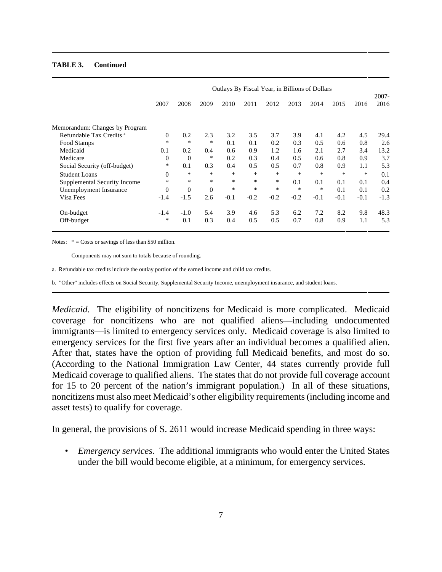#### **TABLE 3. Continued**

|                                     | Outlays By Fiscal Year, in Billions of Dollars |                |              |        |        |        |        |        |        |        |                  |
|-------------------------------------|------------------------------------------------|----------------|--------------|--------|--------|--------|--------|--------|--------|--------|------------------|
|                                     | 2007                                           | 2008           | 2009         | 2010   | 2011   | 2012   | 2013   | 2014   | 2015   | 2016   | $2007 -$<br>2016 |
| Memorandum: Changes by Program      |                                                |                |              |        |        |        |        |        |        |        |                  |
| Refundable Tax Credits <sup>a</sup> | $\Omega$                                       | 0.2            | 2.3          | 3.2    | 3.5    | 3.7    | 3.9    | 4.1    | 4.2    | 4.5    | 29.4             |
| Food Stamps                         | *                                              | $\ast$         | $\ast$       | 0.1    | 0.1    | 0.2    | 0.3    | 0.5    | 0.6    | 0.8    | 2.6              |
| Medicaid                            | 0.1                                            | 0.2            | 0.4          | 0.6    | 0.9    | 1.2    | 1.6    | 2.1    | 2.7    | 3.4    | 13.2             |
| Medicare                            | $\overline{0}$                                 | $\overline{0}$ | ∗            | 0.2    | 0.3    | 0.4    | 0.5    | 0.6    | 0.8    | 0.9    | 3.7              |
| Social Security (off-budget)        | *                                              | 0.1            | 0.3          | 0.4    | 0.5    | 0.5    | 0.7    | 0.8    | 0.9    | 1.1    | 5.3              |
| Student Loans                       | $\Omega$                                       | *              | $\ast$       | $\ast$ | $\ast$ | $*$    | $\ast$ | $\ast$ | *      | *      | 0.1              |
| Supplemental Security Income        | $\ast$                                         | *              | $\ast$       | *      | $\ast$ | *      | 0.1    | 0.1    | 0.1    | 0.1    | 0.4              |
| Unemployment Insurance              | $\overline{0}$                                 | $\mathbf{0}$   | $\mathbf{0}$ | *      | *      | $\ast$ | *      | ∗      | 0.1    | 0.1    | 0.2              |
| Visa Fees                           | $-1.4$                                         | $-1.5$         | 2.6          | $-0.1$ | $-0.2$ | $-0.2$ | $-0.2$ | $-0.1$ | $-0.1$ | $-0.1$ | $-1.3$           |
| On-budget                           | $-1.4$                                         | $-1.0$         | 5.4          | 3.9    | 4.6    | 5.3    | 6.2    | 7.2    | 8.2    | 9.8    | 48.3             |
| Off-budget                          | ∗                                              | 0.1            | 0.3          | 0.4    | 0.5    | 0.5    | 0.7    | 0.8    | 0.9    | 1.1    | 5.3              |

Notes:  $* = \text{Costs}$  or savings of less than \$50 million.

Components may not sum to totals because of rounding.

a. Refundable tax credits include the outlay portion of the earned income and child tax credits.

b. "Other" includes effects on Social Security, Supplemental Security Income, unemployment insurance, and student loans.

*Medicaid*. The eligibility of noncitizens for Medicaid is more complicated. Medicaid coverage for noncitizens who are not qualified aliens—including undocumented immigrants—is limited to emergency services only. Medicaid coverage is also limited to emergency services for the first five years after an individual becomes a qualified alien. After that, states have the option of providing full Medicaid benefits, and most do so. (According to the National Immigration Law Center, 44 states currently provide full Medicaid coverage to qualified aliens. The states that do not provide full coverage account for 15 to 20 percent of the nation's immigrant population.) In all of these situations, noncitizens must also meet Medicaid's other eligibility requirements (including income and asset tests) to qualify for coverage.

In general, the provisions of S. 2611 would increase Medicaid spending in three ways:

• *Emergency services.* The additional immigrants who would enter the United States under the bill would become eligible, at a minimum, for emergency services.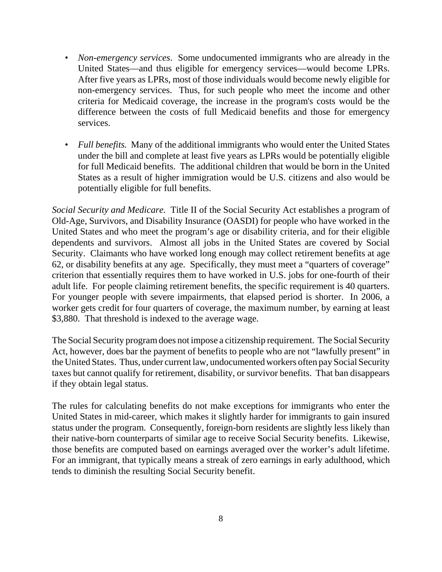- *Non-emergency services*. Some undocumented immigrants who are already in the United States—and thus eligible for emergency services—would become LPRs. After five years as LPRs, most of those individuals would become newly eligible for non-emergency services. Thus, for such people who meet the income and other criteria for Medicaid coverage, the increase in the program's costs would be the difference between the costs of full Medicaid benefits and those for emergency services.
- *Full benefits.* Many of the additional immigrants who would enter the United States under the bill and complete at least five years as LPRs would be potentially eligible for full Medicaid benefits. The additional children that would be born in the United States as a result of higher immigration would be U.S. citizens and also would be potentially eligible for full benefits.

*Social Security and Medicare.* Title II of the Social Security Act establishes a program of Old-Age, Survivors, and Disability Insurance (OASDI) for people who have worked in the United States and who meet the program's age or disability criteria, and for their eligible dependents and survivors. Almost all jobs in the United States are covered by Social Security. Claimants who have worked long enough may collect retirement benefits at age 62, or disability benefits at any age. Specifically, they must meet a "quarters of coverage" criterion that essentially requires them to have worked in U.S. jobs for one-fourth of their adult life. For people claiming retirement benefits, the specific requirement is 40 quarters. For younger people with severe impairments, that elapsed period is shorter. In 2006, a worker gets credit for four quarters of coverage, the maximum number, by earning at least \$3,880. That threshold is indexed to the average wage.

The Social Security program does not impose a citizenship requirement. The Social Security Act, however, does bar the payment of benefits to people who are not "lawfully present" in the United States. Thus, under current law, undocumented workers often pay Social Security taxes but cannot qualify for retirement, disability, or survivor benefits. That ban disappears if they obtain legal status.

The rules for calculating benefits do not make exceptions for immigrants who enter the United States in mid-career, which makes it slightly harder for immigrants to gain insured status under the program. Consequently, foreign-born residents are slightly less likely than their native-born counterparts of similar age to receive Social Security benefits. Likewise, those benefits are computed based on earnings averaged over the worker's adult lifetime. For an immigrant, that typically means a streak of zero earnings in early adulthood, which tends to diminish the resulting Social Security benefit.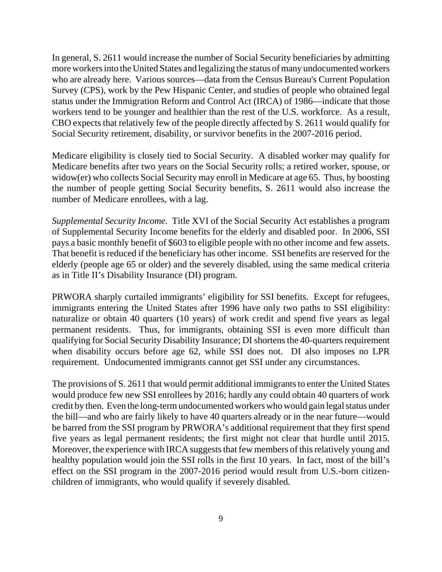In general, S. 2611 would increase the number of Social Security beneficiaries by admitting more workers into the United States and legalizing the status of many undocumented workers who are already here. Various sources—data from the Census Bureau's Current Population Survey (CPS), work by the Pew Hispanic Center, and studies of people who obtained legal status under the Immigration Reform and Control Act (IRCA) of 1986—indicate that those workers tend to be younger and healthier than the rest of the U.S. workforce. As a result, CBO expects that relatively few of the people directly affected by S. 2611 would qualify for Social Security retirement, disability, or survivor benefits in the 2007-2016 period.

Medicare eligibility is closely tied to Social Security. A disabled worker may qualify for Medicare benefits after two years on the Social Security rolls; a retired worker, spouse, or widow(er) who collects Social Security may enroll in Medicare at age 65. Thus, by boosting the number of people getting Social Security benefits, S. 2611 would also increase the number of Medicare enrollees, with a lag.

*Supplemental Security Income.* Title XVI of the Social Security Act establishes a program of Supplemental Security Income benefits for the elderly and disabled poor. In 2006, SSI pays a basic monthly benefit of \$603 to eligible people with no other income and few assets. That benefit is reduced if the beneficiary has other income. SSI benefits are reserved for the elderly (people age 65 or older) and the severely disabled, using the same medical criteria as in Title II's Disability Insurance (DI) program.

PRWORA sharply curtailed immigrants' eligibility for SSI benefits. Except for refugees, immigrants entering the United States after 1996 have only two paths to SSI eligibility: naturalize or obtain 40 quarters (10 years) of work credit and spend five years as legal permanent residents. Thus, for immigrants, obtaining SSI is even more difficult than qualifying for Social Security Disability Insurance; DI shortens the 40-quarters requirement when disability occurs before age 62, while SSI does not. DI also imposes no LPR requirement. Undocumented immigrants cannot get SSI under any circumstances.

The provisions of S. 2611 that would permit additional immigrants to enter the United States would produce few new SSI enrollees by 2016; hardly any could obtain 40 quarters of work credit by then. Even the long-term undocumented workers who would gain legal status under the bill—and who are fairly likely to have 40 quarters already or in the near future—would be barred from the SSI program by PRWORA's additional requirement that they first spend five years as legal permanent residents; the first might not clear that hurdle until 2015. Moreover, the experience with IRCA suggests that few members of this relatively young and healthy population would join the SSI rolls in the first 10 years. In fact, most of the bill's effect on the SSI program in the 2007-2016 period would result from U.S.-born citizenchildren of immigrants, who would qualify if severely disabled.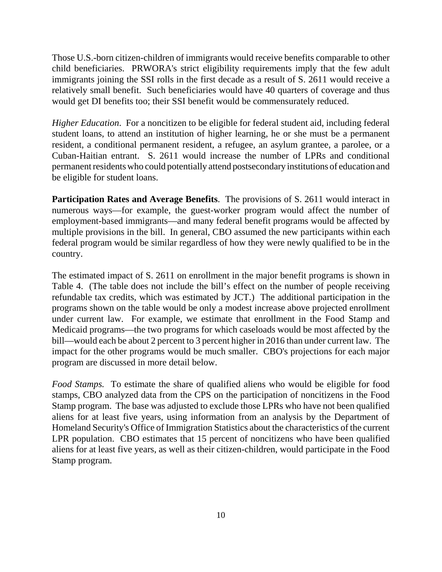Those U.S.-born citizen-children of immigrants would receive benefits comparable to other child beneficiaries. PRWORA's strict eligibility requirements imply that the few adult immigrants joining the SSI rolls in the first decade as a result of S. 2611 would receive a relatively small benefit. Such beneficiaries would have 40 quarters of coverage and thus would get DI benefits too; their SSI benefit would be commensurately reduced.

*Higher Education*. For a noncitizen to be eligible for federal student aid, including federal student loans, to attend an institution of higher learning, he or she must be a permanent resident, a conditional permanent resident, a refugee, an asylum grantee, a parolee, or a Cuban-Haitian entrant. S. 2611 would increase the number of LPRs and conditional permanent residents who could potentially attend postsecondary institutions of education and be eligible for student loans.

**Participation Rates and Average Benefits**. The provisions of S. 2611 would interact in numerous ways—for example, the guest-worker program would affect the number of employment-based immigrants—and many federal benefit programs would be affected by multiple provisions in the bill. In general, CBO assumed the new participants within each federal program would be similar regardless of how they were newly qualified to be in the country.

The estimated impact of S. 2611 on enrollment in the major benefit programs is shown in Table 4. (The table does not include the bill's effect on the number of people receiving refundable tax credits, which was estimated by JCT.) The additional participation in the programs shown on the table would be only a modest increase above projected enrollment under current law. For example, we estimate that enrollment in the Food Stamp and Medicaid programs—the two programs for which caseloads would be most affected by the bill—would each be about 2 percent to 3 percent higher in 2016 than under current law. The impact for the other programs would be much smaller. CBO's projections for each major program are discussed in more detail below.

*Food Stamps.* To estimate the share of qualified aliens who would be eligible for food stamps, CBO analyzed data from the CPS on the participation of noncitizens in the Food Stamp program. The base was adjusted to exclude those LPRs who have not been qualified aliens for at least five years, using information from an analysis by the Department of Homeland Security's Office of Immigration Statistics about the characteristics of the current LPR population. CBO estimates that 15 percent of noncitizens who have been qualified aliens for at least five years, as well as their citizen-children, would participate in the Food Stamp program.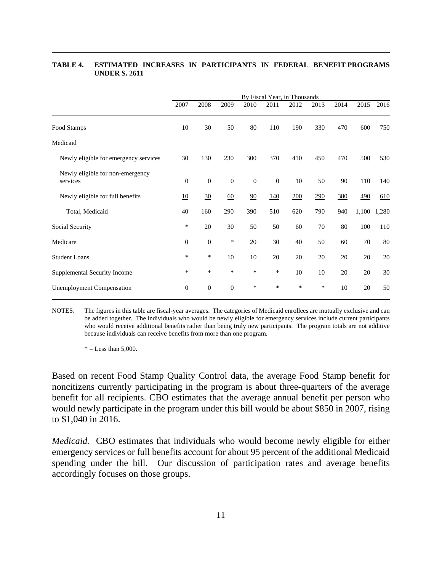|                                              |              | By Fiscal Year, in Thousands |                  |          |            |      |      |      |       |       |
|----------------------------------------------|--------------|------------------------------|------------------|----------|------------|------|------|------|-------|-------|
|                                              | 2007         | 2008                         | 2009             | 2010     | 2011       | 2012 | 2013 | 2014 | 2015  | 2016  |
| Food Stamps                                  | 10           | 30                           | 50               | 80       | 110        | 190  | 330  | 470  | 600   | 750   |
| Medicaid                                     |              |                              |                  |          |            |      |      |      |       |       |
| Newly eligible for emergency services        | 30           | 130                          | 230              | 300      | 370        | 410  | 450  | 470  | 500   | 530   |
| Newly eligible for non-emergency<br>services | $\theta$     | $\mathbf{0}$                 | $\boldsymbol{0}$ | $\theta$ | $\theta$   | 10   | 50   | 90   | 110   | 140   |
| Newly eligible for full benefits             | 10           | $\frac{30}{2}$               | 60               | 90       | <u>140</u> | 200  | 290  | 380  | 490   | 610   |
| Total, Medicaid                              | 40           | 160                          | 290              | 390      | 510        | 620  | 790  | 940  | 1,100 | 1,280 |
| Social Security                              | $\ast$       | 20                           | 30               | 50       | 50         | 60   | 70   | 80   | 100   | 110   |
| Medicare                                     | $\mathbf{0}$ | $\boldsymbol{0}$             | $\ast$           | 20       | 30         | 40   | 50   | 60   | 70    | 80    |
| <b>Student Loans</b>                         | *            | *                            | 10               | 10       | 20         | 20   | 20   | 20   | 20    | 20    |
| Supplemental Security Income                 | $\ast$       | $\ast$                       | $\ast$           | *        | $\ast$     | 10   | 10   | 20   | 20    | 30    |
| <b>Unemployment Compensation</b>             | $\mathbf{0}$ | $\boldsymbol{0}$             | $\boldsymbol{0}$ | ∗        | *          | *    | *    | 10   | 20    | 50    |

#### **TABLE 4. ESTIMATED INCREASES IN PARTICIPANTS IN FEDERAL BENEFIT PROGRAMS UNDER S. 2611**

NOTES: The figures in this table are fiscal-year averages. The categories of Medicaid enrollees are mutually exclusive and can be added together. The individuals who would be newly eligible for emergency services include current participants who would receive additional benefits rather than being truly new participants. The program totals are not additive because individuals can receive benefits from more than one program.

 $* =$  Less than 5,000.

Based on recent Food Stamp Quality Control data, the average Food Stamp benefit for noncitizens currently participating in the program is about three-quarters of the average benefit for all recipients. CBO estimates that the average annual benefit per person who would newly participate in the program under this bill would be about \$850 in 2007, rising to \$1,040 in 2016.

*Medicaid.* CBO estimates that individuals who would become newly eligible for either emergency services or full benefits account for about 95 percent of the additional Medicaid spending under the bill. Our discussion of participation rates and average benefits accordingly focuses on those groups.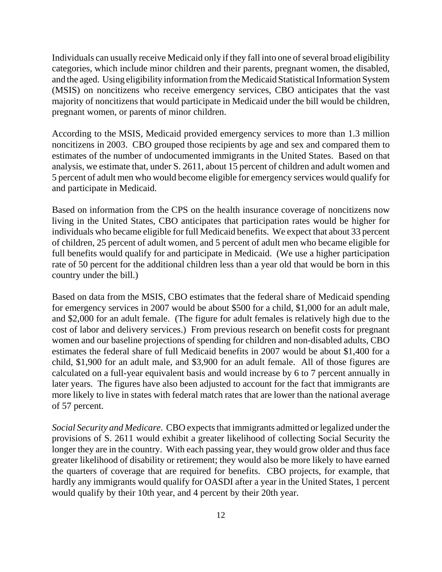Individuals can usually receive Medicaid only if they fall into one of several broad eligibility categories, which include minor children and their parents, pregnant women, the disabled, and the aged. Using eligibility information from the Medicaid Statistical Information System (MSIS) on noncitizens who receive emergency services, CBO anticipates that the vast majority of noncitizens that would participate in Medicaid under the bill would be children, pregnant women, or parents of minor children.

According to the MSIS, Medicaid provided emergency services to more than 1.3 million noncitizens in 2003. CBO grouped those recipients by age and sex and compared them to estimates of the number of undocumented immigrants in the United States. Based on that analysis, we estimate that, under S. 2611, about 15 percent of children and adult women and 5 percent of adult men who would become eligible for emergency services would qualify for and participate in Medicaid.

Based on information from the CPS on the health insurance coverage of noncitizens now living in the United States, CBO anticipates that participation rates would be higher for individuals who became eligible for full Medicaid benefits. We expect that about 33 percent of children, 25 percent of adult women, and 5 percent of adult men who became eligible for full benefits would qualify for and participate in Medicaid. (We use a higher participation rate of 50 percent for the additional children less than a year old that would be born in this country under the bill.)

Based on data from the MSIS, CBO estimates that the federal share of Medicaid spending for emergency services in 2007 would be about \$500 for a child, \$1,000 for an adult male, and \$2,000 for an adult female. (The figure for adult females is relatively high due to the cost of labor and delivery services.) From previous research on benefit costs for pregnant women and our baseline projections of spending for children and non-disabled adults, CBO estimates the federal share of full Medicaid benefits in 2007 would be about \$1,400 for a child, \$1,900 for an adult male, and \$3,900 for an adult female. All of those figures are calculated on a full-year equivalent basis and would increase by 6 to 7 percent annually in later years. The figures have also been adjusted to account for the fact that immigrants are more likely to live in states with federal match rates that are lower than the national average of 57 percent.

*Social Security and Medicare*. CBO expects that immigrants admitted or legalized under the provisions of S. 2611 would exhibit a greater likelihood of collecting Social Security the longer they are in the country. With each passing year, they would grow older and thus face greater likelihood of disability or retirement; they would also be more likely to have earned the quarters of coverage that are required for benefits. CBO projects, for example, that hardly any immigrants would qualify for OASDI after a year in the United States, 1 percent would qualify by their 10th year, and 4 percent by their 20th year.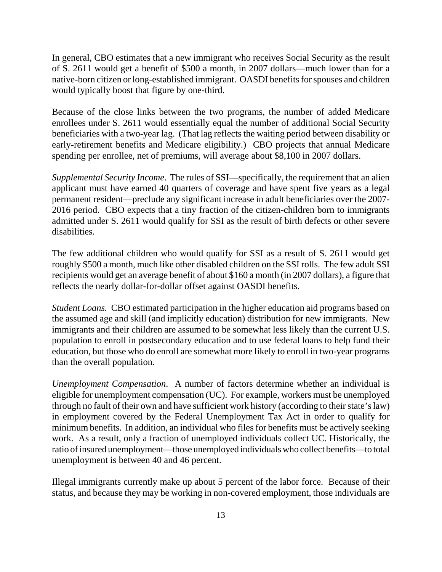In general, CBO estimates that a new immigrant who receives Social Security as the result of S. 2611 would get a benefit of \$500 a month, in 2007 dollars—much lower than for a native-born citizen or long-established immigrant. OASDI benefits for spouses and children would typically boost that figure by one-third.

Because of the close links between the two programs, the number of added Medicare enrollees under S. 2611 would essentially equal the number of additional Social Security beneficiaries with a two-year lag. (That lag reflects the waiting period between disability or early-retirement benefits and Medicare eligibility.) CBO projects that annual Medicare spending per enrollee, net of premiums, will average about \$8,100 in 2007 dollars.

*Supplemental Security Income*. The rules of SSI—specifically, the requirement that an alien applicant must have earned 40 quarters of coverage and have spent five years as a legal permanent resident—preclude any significant increase in adult beneficiaries over the 2007- 2016 period. CBO expects that a tiny fraction of the citizen-children born to immigrants admitted under S. 2611 would qualify for SSI as the result of birth defects or other severe disabilities.

The few additional children who would qualify for SSI as a result of S. 2611 would get roughly \$500 a month, much like other disabled children on the SSI rolls. The few adult SSI recipients would get an average benefit of about \$160 a month (in 2007 dollars), a figure that reflects the nearly dollar-for-dollar offset against OASDI benefits.

*Student Loans.* CBO estimated participation in the higher education aid programs based on the assumed age and skill (and implicitly education) distribution for new immigrants. New immigrants and their children are assumed to be somewhat less likely than the current U.S. population to enroll in postsecondary education and to use federal loans to help fund their education, but those who do enroll are somewhat more likely to enroll in two-year programs than the overall population.

*Unemployment Compensation*. A number of factors determine whether an individual is eligible for unemployment compensation (UC). For example, workers must be unemployed through no fault of their own and have sufficient work history (according to their state's law) in employment covered by the Federal Unemployment Tax Act in order to qualify for minimum benefits. In addition, an individual who files for benefits must be actively seeking work. As a result, only a fraction of unemployed individuals collect UC. Historically, the ratio of insured unemployment—those unemployed individuals who collect benefits—to total unemployment is between 40 and 46 percent.

Illegal immigrants currently make up about 5 percent of the labor force. Because of their status, and because they may be working in non-covered employment, those individuals are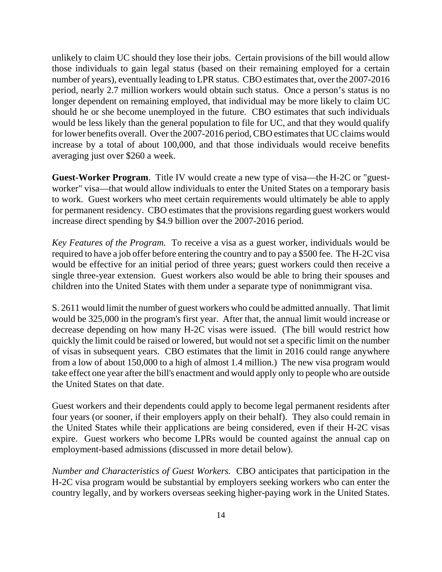unlikely to claim UC should they lose their jobs. Certain provisions of the bill would allow those individuals to gain legal status (based on their remaining employed for a certain number of years), eventually leading to LPR status. CBO estimates that, over the 2007-2016 period, nearly 2.7 million workers would obtain such status. Once a person's status is no longer dependent on remaining employed, that individual may be more likely to claim UC should he or she become unemployed in the future. CBO estimates that such individuals would be less likely than the general population to file for UC, and that they would qualify for lower benefits overall. Over the 2007-2016 period, CBO estimates that UC claims would increase by a total of about 100,000, and that those individuals would receive benefits averaging just over \$260 a week.

**Guest-Worker Program**. Title IV would create a new type of visa—the H-2C or "guestworker" visa—that would allow individuals to enter the United States on a temporary basis to work. Guest workers who meet certain requirements would ultimately be able to apply for permanent residency. CBO estimates that the provisions regarding guest workers would increase direct spending by \$4.9 billion over the 2007-2016 period.

*Key Features of the Program.* To receive a visa as a guest worker, individuals would be required to have a job offer before entering the country and to pay a \$500 fee. The H-2C visa would be effective for an initial period of three years; guest workers could then receive a single three-year extension. Guest workers also would be able to bring their spouses and children into the United States with them under a separate type of nonimmigrant visa.

S. 2611 would limit the number of guest workers who could be admitted annually. That limit would be 325,000 in the program's first year. After that, the annual limit would increase or decrease depending on how many H-2C visas were issued. (The bill would restrict how quickly the limit could be raised or lowered, but would not set a specific limit on the number of visas in subsequent years. CBO estimates that the limit in 2016 could range anywhere from a low of about 150,000 to a high of almost 1.4 million.) The new visa program would take effect one year after the bill's enactment and would apply only to people who are outside the United States on that date.

Guest workers and their dependents could apply to become legal permanent residents after four years (or sooner, if their employers apply on their behalf). They also could remain in the United States while their applications are being considered, even if their H-2C visas expire. Guest workers who become LPRs would be counted against the annual cap on employment-based admissions (discussed in more detail below).

*Number and Characteristics of Guest Workers.* CBO anticipates that participation in the H-2C visa program would be substantial by employers seeking workers who can enter the country legally, and by workers overseas seeking higher-paying work in the United States.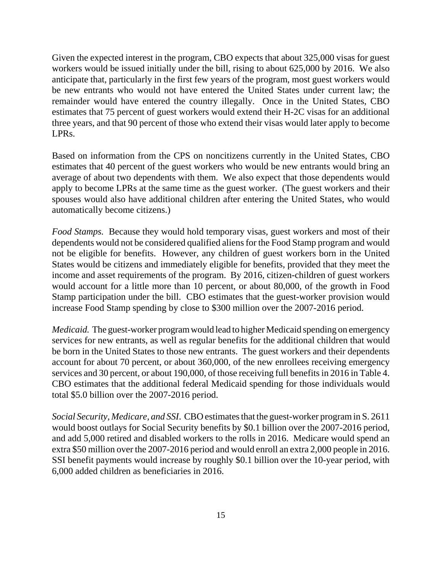Given the expected interest in the program, CBO expects that about 325,000 visas for guest workers would be issued initially under the bill, rising to about 625,000 by 2016. We also anticipate that, particularly in the first few years of the program, most guest workers would be new entrants who would not have entered the United States under current law; the remainder would have entered the country illegally. Once in the United States, CBO estimates that 75 percent of guest workers would extend their H-2C visas for an additional three years, and that 90 percent of those who extend their visas would later apply to become LPRs.

Based on information from the CPS on noncitizens currently in the United States, CBO estimates that 40 percent of the guest workers who would be new entrants would bring an average of about two dependents with them. We also expect that those dependents would apply to become LPRs at the same time as the guest worker. (The guest workers and their spouses would also have additional children after entering the United States, who would automatically become citizens.)

*Food Stamps.* Because they would hold temporary visas, guest workers and most of their dependents would not be considered qualified aliens for the Food Stamp program and would not be eligible for benefits. However, any children of guest workers born in the United States would be citizens and immediately eligible for benefits, provided that they meet the income and asset requirements of the program. By 2016, citizen-children of guest workers would account for a little more than 10 percent, or about 80,000, of the growth in Food Stamp participation under the bill. CBO estimates that the guest-worker provision would increase Food Stamp spending by close to \$300 million over the 2007-2016 period.

*Medicaid.* The guest-worker program would lead to higher Medicaid spending on emergency services for new entrants, as well as regular benefits for the additional children that would be born in the United States to those new entrants. The guest workers and their dependents account for about 70 percent, or about 360,000, of the new enrollees receiving emergency services and 30 percent, or about 190,000, of those receiving full benefits in 2016 in Table 4. CBO estimates that the additional federal Medicaid spending for those individuals would total \$5.0 billion over the 2007-2016 period.

*Social Security, Medicare, and SSI*. CBO estimates that the guest-worker program in S. 2611 would boost outlays for Social Security benefits by \$0.1 billion over the 2007-2016 period, and add 5,000 retired and disabled workers to the rolls in 2016. Medicare would spend an extra \$50 million over the 2007-2016 period and would enroll an extra 2,000 people in 2016. SSI benefit payments would increase by roughly \$0.1 billion over the 10-year period, with 6,000 added children as beneficiaries in 2016.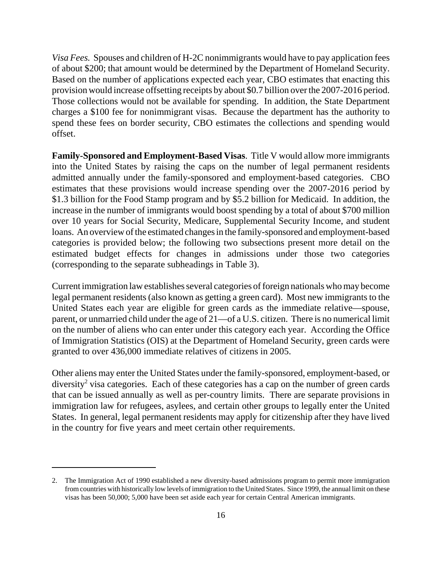*Visa Fees.* Spouses and children of H-2C nonimmigrants would have to pay application fees of about \$200; that amount would be determined by the Department of Homeland Security. Based on the number of applications expected each year, CBO estimates that enacting this provision would increase offsetting receipts by about \$0.7 billion over the 2007-2016 period. Those collections would not be available for spending. In addition, the State Department charges a \$100 fee for nonimmigrant visas. Because the department has the authority to spend these fees on border security, CBO estimates the collections and spending would offset.

**Family-Sponsored and Employment-Based Visas**. Title V would allow more immigrants into the United States by raising the caps on the number of legal permanent residents admitted annually under the family-sponsored and employment-based categories. CBO estimates that these provisions would increase spending over the 2007-2016 period by \$1.3 billion for the Food Stamp program and by \$5.2 billion for Medicaid. In addition, the increase in the number of immigrants would boost spending by a total of about \$700 million over 10 years for Social Security, Medicare, Supplemental Security Income, and student loans. An overview of the estimated changes in the family-sponsored and employment-based categories is provided below; the following two subsections present more detail on the estimated budget effects for changes in admissions under those two categories (corresponding to the separate subheadings in Table 3).

Current immigration law establishes several categories of foreign nationals who may become legal permanent residents (also known as getting a green card). Most new immigrants to the United States each year are eligible for green cards as the immediate relative—spouse, parent, or unmarried child under the age of 21—of a U.S. citizen. There is no numerical limit on the number of aliens who can enter under this category each year. According the Office of Immigration Statistics (OIS) at the Department of Homeland Security, green cards were granted to over 436,000 immediate relatives of citizens in 2005.

Other aliens may enter the United States under the family-sponsored, employment-based, or diversity<sup>2</sup> visa categories. Each of these categories has a cap on the number of green cards that can be issued annually as well as per-country limits. There are separate provisions in immigration law for refugees, asylees, and certain other groups to legally enter the United States. In general, legal permanent residents may apply for citizenship after they have lived in the country for five years and meet certain other requirements.

<sup>2.</sup> The Immigration Act of 1990 established a new diversity-based admissions program to permit more immigration from countries with historically low levels of immigration to the United States. Since 1999, the annual limit on these visas has been 50,000; 5,000 have been set aside each year for certain Central American immigrants.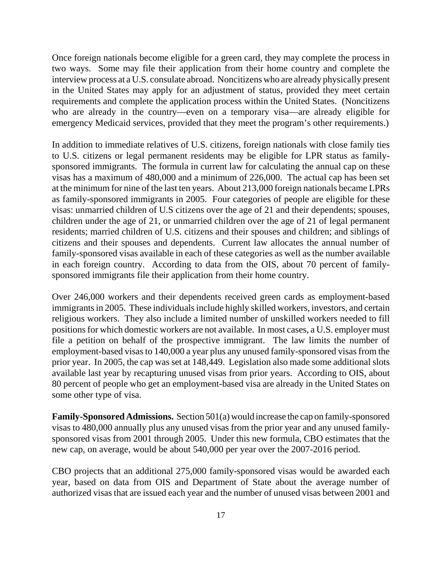Once foreign nationals become eligible for a green card, they may complete the process in two ways. Some may file their application from their home country and complete the interview process at a U.S. consulate abroad. Noncitizens who are already physically present in the United States may apply for an adjustment of status, provided they meet certain requirements and complete the application process within the United States. (Noncitizens who are already in the country—even on a temporary visa—are already eligible for emergency Medicaid services, provided that they meet the program's other requirements.)

In addition to immediate relatives of U.S. citizens, foreign nationals with close family ties to U.S. citizens or legal permanent residents may be eligible for LPR status as familysponsored immigrants. The formula in current law for calculating the annual cap on these visas has a maximum of 480,000 and a minimum of 226,000. The actual cap has been set at the minimum for nine of the last ten years. About 213,000 foreign nationals became LPRs as family-sponsored immigrants in 2005. Four categories of people are eligible for these visas: unmarried children of U.S citizens over the age of 21 and their dependents; spouses, children under the age of 21, or unmarried children over the age of 21 of legal permanent residents; married children of U.S. citizens and their spouses and children; and siblings of citizens and their spouses and dependents. Current law allocates the annual number of family-sponsored visas available in each of these categories as well as the number available in each foreign country. According to data from the OIS, about 70 percent of familysponsored immigrants file their application from their home country.

Over 246,000 workers and their dependents received green cards as employment-based immigrants in 2005. These individuals include highly skilled workers, investors, and certain religious workers. They also include a limited number of unskilled workers needed to fill positions for which domestic workers are not available. In most cases, a U.S. employer must file a petition on behalf of the prospective immigrant. The law limits the number of employment-based visas to 140,000 a year plus any unused family-sponsored visas from the prior year. In 2005, the cap was set at 148,449. Legislation also made some additional slots available last year by recapturing unused visas from prior years. According to OIS, about 80 percent of people who get an employment-based visa are already in the United States on some other type of visa.

**Family-Sponsored Admissions.** Section 501(a) would increase the cap on family-sponsored visas to 480,000 annually plus any unused visas from the prior year and any unused familysponsored visas from 2001 through 2005. Under this new formula, CBO estimates that the new cap, on average, would be about 540,000 per year over the 2007-2016 period.

CBO projects that an additional 275,000 family-sponsored visas would be awarded each year, based on data from OIS and Department of State about the average number of authorized visas that are issued each year and the number of unused visas between 2001 and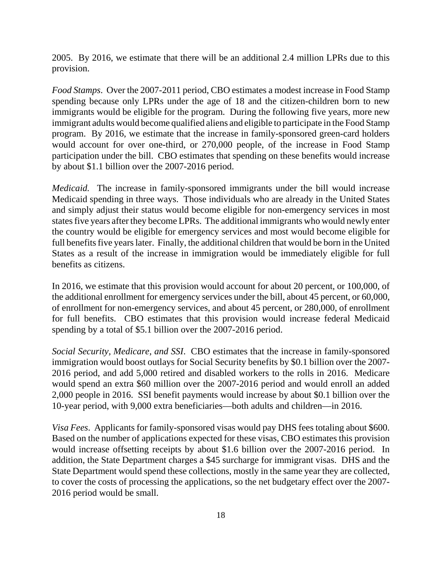2005. By 2016, we estimate that there will be an additional 2.4 million LPRs due to this provision.

*Food Stamps*. Over the 2007-2011 period, CBO estimates a modest increase in Food Stamp spending because only LPRs under the age of 18 and the citizen-children born to new immigrants would be eligible for the program. During the following five years, more new immigrant adults would become qualified aliens and eligible to participate in the Food Stamp program. By 2016, we estimate that the increase in family-sponsored green-card holders would account for over one-third, or 270,000 people, of the increase in Food Stamp participation under the bill. CBO estimates that spending on these benefits would increase by about \$1.1 billion over the 2007-2016 period.

*Medicaid.* The increase in family-sponsored immigrants under the bill would increase Medicaid spending in three ways. Those individuals who are already in the United States and simply adjust their status would become eligible for non-emergency services in most states five years after they become LPRs. The additional immigrants who would newly enter the country would be eligible for emergency services and most would become eligible for full benefits five years later. Finally, the additional children that would be born in the United States as a result of the increase in immigration would be immediately eligible for full benefits as citizens.

In 2016, we estimate that this provision would account for about 20 percent, or 100,000, of the additional enrollment for emergency services under the bill, about 45 percent, or 60,000, of enrollment for non-emergency services, and about 45 percent, or 280,000, of enrollment for full benefits. CBO estimates that this provision would increase federal Medicaid spending by a total of \$5.1 billion over the 2007-2016 period.

*Social Security, Medicare, and SSI*. CBO estimates that the increase in family-sponsored immigration would boost outlays for Social Security benefits by \$0.1 billion over the 2007- 2016 period, and add 5,000 retired and disabled workers to the rolls in 2016. Medicare would spend an extra \$60 million over the 2007-2016 period and would enroll an added 2,000 people in 2016. SSI benefit payments would increase by about \$0.1 billion over the 10-year period, with 9,000 extra beneficiaries—both adults and children—in 2016.

*Visa Fees*. Applicants for family-sponsored visas would pay DHS fees totaling about \$600. Based on the number of applications expected for these visas, CBO estimates this provision would increase offsetting receipts by about \$1.6 billion over the 2007-2016 period. In addition, the State Department charges a \$45 surcharge for immigrant visas. DHS and the State Department would spend these collections, mostly in the same year they are collected, to cover the costs of processing the applications, so the net budgetary effect over the 2007- 2016 period would be small.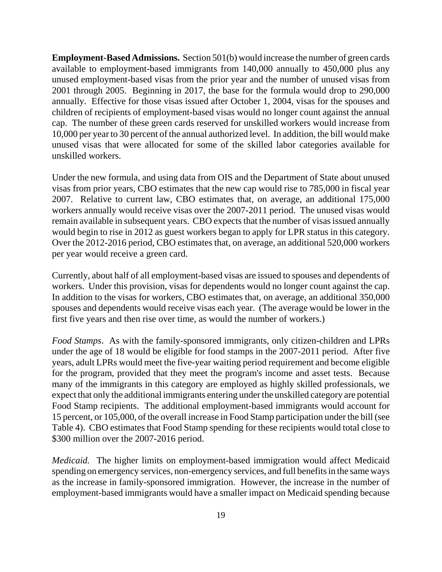**Employment-Based Admissions.** Section 501(b) would increase the number of green cards available to employment-based immigrants from 140,000 annually to 450,000 plus any unused employment-based visas from the prior year and the number of unused visas from 2001 through 2005. Beginning in 2017, the base for the formula would drop to 290,000 annually. Effective for those visas issued after October 1, 2004, visas for the spouses and children of recipients of employment-based visas would no longer count against the annual cap. The number of these green cards reserved for unskilled workers would increase from 10,000 per year to 30 percent of the annual authorized level. In addition, the bill would make unused visas that were allocated for some of the skilled labor categories available for unskilled workers.

Under the new formula, and using data from OIS and the Department of State about unused visas from prior years, CBO estimates that the new cap would rise to 785,000 in fiscal year 2007. Relative to current law, CBO estimates that, on average, an additional 175,000 workers annually would receive visas over the 2007-2011 period. The unused visas would remain available in subsequent years. CBO expects that the number of visas issued annually would begin to rise in 2012 as guest workers began to apply for LPR status in this category. Over the 2012-2016 period, CBO estimates that, on average, an additional 520,000 workers per year would receive a green card.

Currently, about half of all employment-based visas are issued to spouses and dependents of workers. Under this provision, visas for dependents would no longer count against the cap. In addition to the visas for workers, CBO estimates that, on average, an additional 350,000 spouses and dependents would receive visas each year. (The average would be lower in the first five years and then rise over time, as would the number of workers.)

*Food Stamps*. As with the family-sponsored immigrants, only citizen-children and LPRs under the age of 18 would be eligible for food stamps in the 2007-2011 period. After five years, adult LPRs would meet the five-year waiting period requirement and become eligible for the program, provided that they meet the program's income and asset tests. Because many of the immigrants in this category are employed as highly skilled professionals, we expect that only the additional immigrants entering under the unskilled category are potential Food Stamp recipients. The additional employment-based immigrants would account for 15 percent, or 105,000, of the overall increase in Food Stamp participation under the bill (see Table 4). CBO estimates that Food Stamp spending for these recipients would total close to \$300 million over the 2007-2016 period.

*Medicaid.* The higher limits on employment-based immigration would affect Medicaid spending on emergency services, non-emergency services, and full benefits in the same ways as the increase in family-sponsored immigration. However, the increase in the number of employment-based immigrants would have a smaller impact on Medicaid spending because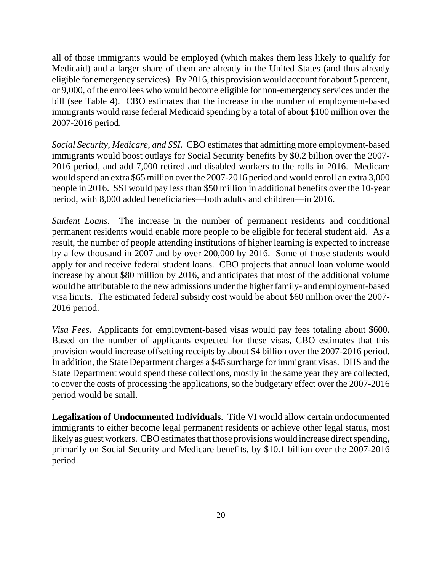all of those immigrants would be employed (which makes them less likely to qualify for Medicaid) and a larger share of them are already in the United States (and thus already eligible for emergency services). By 2016, this provision would account for about 5 percent, or 9,000, of the enrollees who would become eligible for non-emergency services under the bill (see Table 4). CBO estimates that the increase in the number of employment-based immigrants would raise federal Medicaid spending by a total of about \$100 million over the 2007-2016 period.

*Social Security, Medicare, and SSI*. CBO estimates that admitting more employment-based immigrants would boost outlays for Social Security benefits by \$0.2 billion over the 2007- 2016 period, and add 7,000 retired and disabled workers to the rolls in 2016. Medicare would spend an extra \$65 million over the 2007-2016 period and would enroll an extra 3,000 people in 2016. SSI would pay less than \$50 million in additional benefits over the 10-year period, with 8,000 added beneficiaries—both adults and children—in 2016.

*Student Loans*. The increase in the number of permanent residents and conditional permanent residents would enable more people to be eligible for federal student aid. As a result, the number of people attending institutions of higher learning is expected to increase by a few thousand in 2007 and by over 200,000 by 2016. Some of those students would apply for and receive federal student loans. CBO projects that annual loan volume would increase by about \$80 million by 2016, and anticipates that most of the additional volume would be attributable to the new admissions under the higher family- and employment-based visa limits. The estimated federal subsidy cost would be about \$60 million over the 2007- 2016 period.

*Visa Fees.* Applicants for employment-based visas would pay fees totaling about \$600. Based on the number of applicants expected for these visas, CBO estimates that this provision would increase offsetting receipts by about \$4 billion over the 2007-2016 period. In addition, the State Department charges a \$45 surcharge for immigrant visas. DHS and the State Department would spend these collections, mostly in the same year they are collected, to cover the costs of processing the applications, so the budgetary effect over the 2007-2016 period would be small.

**Legalization of Undocumented Individuals**. Title VI would allow certain undocumented immigrants to either become legal permanent residents or achieve other legal status, most likely as guest workers. CBO estimates that those provisions would increase direct spending, primarily on Social Security and Medicare benefits, by \$10.1 billion over the 2007-2016 period.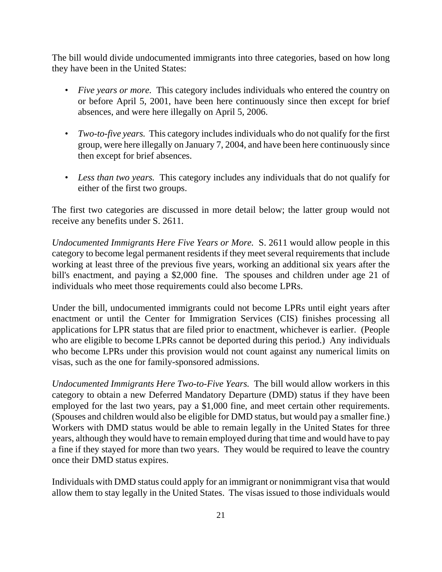The bill would divide undocumented immigrants into three categories, based on how long they have been in the United States:

- *Five years or more.* This category includes individuals who entered the country on or before April 5, 2001, have been here continuously since then except for brief absences, and were here illegally on April 5, 2006.
- *Two-to-five years.* This category includes individuals who do not qualify for the first group, were here illegally on January 7, 2004, and have been here continuously since then except for brief absences.
- *Less than two years.* This category includes any individuals that do not qualify for either of the first two groups.

The first two categories are discussed in more detail below; the latter group would not receive any benefits under S. 2611.

*Undocumented Immigrants Here Five Years or More.* S. 2611 would allow people in this category to become legal permanent residents if they meet several requirements that include working at least three of the previous five years, working an additional six years after the bill's enactment, and paying a \$2,000 fine. The spouses and children under age 21 of individuals who meet those requirements could also become LPRs.

Under the bill, undocumented immigrants could not become LPRs until eight years after enactment or until the Center for Immigration Services (CIS) finishes processing all applications for LPR status that are filed prior to enactment, whichever is earlier. (People who are eligible to become LPRs cannot be deported during this period.) Any individuals who become LPRs under this provision would not count against any numerical limits on visas, such as the one for family-sponsored admissions.

*Undocumented Immigrants Here Two-to-Five Years.* The bill would allow workers in this category to obtain a new Deferred Mandatory Departure (DMD) status if they have been employed for the last two years, pay a \$1,000 fine, and meet certain other requirements. (Spouses and children would also be eligible for DMD status, but would pay a smaller fine.) Workers with DMD status would be able to remain legally in the United States for three years, although they would have to remain employed during that time and would have to pay a fine if they stayed for more than two years. They would be required to leave the country once their DMD status expires.

Individuals with DMD status could apply for an immigrant or nonimmigrant visa that would allow them to stay legally in the United States. The visas issued to those individuals would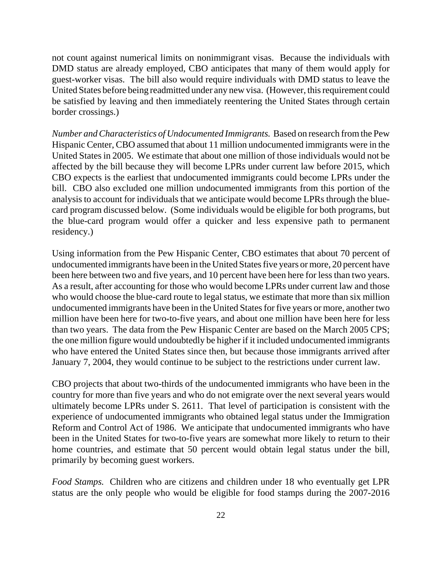not count against numerical limits on nonimmigrant visas. Because the individuals with DMD status are already employed, CBO anticipates that many of them would apply for guest-worker visas. The bill also would require individuals with DMD status to leave the United States before being readmitted under any new visa. (However, this requirement could be satisfied by leaving and then immediately reentering the United States through certain border crossings.)

*Number and Characteristics of Undocumented Immigrants.* Based on research from the Pew Hispanic Center, CBO assumed that about 11 million undocumented immigrants were in the United States in 2005. We estimate that about one million of those individuals would not be affected by the bill because they will become LPRs under current law before 2015, which CBO expects is the earliest that undocumented immigrants could become LPRs under the bill. CBO also excluded one million undocumented immigrants from this portion of the analysis to account for individuals that we anticipate would become LPRs through the bluecard program discussed below. (Some individuals would be eligible for both programs, but the blue-card program would offer a quicker and less expensive path to permanent residency.)

Using information from the Pew Hispanic Center, CBO estimates that about 70 percent of undocumented immigrants have been in the United States five years or more, 20 percent have been here between two and five years, and 10 percent have been here for less than two years. As a result, after accounting for those who would become LPRs under current law and those who would choose the blue-card route to legal status, we estimate that more than six million undocumented immigrants have been in the United States for five years or more, another two million have been here for two-to-five years, and about one million have been here for less than two years. The data from the Pew Hispanic Center are based on the March 2005 CPS; the one million figure would undoubtedly be higher if it included undocumented immigrants who have entered the United States since then, but because those immigrants arrived after January 7, 2004, they would continue to be subject to the restrictions under current law.

CBO projects that about two-thirds of the undocumented immigrants who have been in the country for more than five years and who do not emigrate over the next several years would ultimately become LPRs under S. 2611. That level of participation is consistent with the experience of undocumented immigrants who obtained legal status under the Immigration Reform and Control Act of 1986. We anticipate that undocumented immigrants who have been in the United States for two-to-five years are somewhat more likely to return to their home countries, and estimate that 50 percent would obtain legal status under the bill, primarily by becoming guest workers.

*Food Stamps.* Children who are citizens and children under 18 who eventually get LPR status are the only people who would be eligible for food stamps during the 2007-2016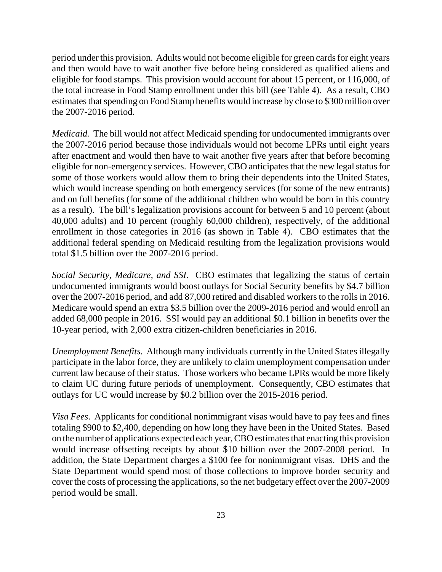period under this provision. Adults would not become eligible for green cards for eight years and then would have to wait another five before being considered as qualified aliens and eligible for food stamps. This provision would account for about 15 percent, or 116,000, of the total increase in Food Stamp enrollment under this bill (see Table 4). As a result, CBO estimates that spending on Food Stamp benefits would increase by close to \$300 million over the 2007-2016 period.

*Medicaid.* The bill would not affect Medicaid spending for undocumented immigrants over the 2007-2016 period because those individuals would not become LPRs until eight years after enactment and would then have to wait another five years after that before becoming eligible for non-emergency services. However, CBO anticipates that the new legal status for some of those workers would allow them to bring their dependents into the United States, which would increase spending on both emergency services (for some of the new entrants) and on full benefits (for some of the additional children who would be born in this country as a result). The bill's legalization provisions account for between 5 and 10 percent (about 40,000 adults) and 10 percent (roughly 60,000 children), respectively, of the additional enrollment in those categories in 2016 (as shown in Table 4). CBO estimates that the additional federal spending on Medicaid resulting from the legalization provisions would total \$1.5 billion over the 2007-2016 period.

*Social Security, Medicare, and SSI*. CBO estimates that legalizing the status of certain undocumented immigrants would boost outlays for Social Security benefits by \$4.7 billion over the 2007-2016 period, and add 87,000 retired and disabled workers to the rolls in 2016. Medicare would spend an extra \$3.5 billion over the 2009-2016 period and would enroll an added 68,000 people in 2016. SSI would pay an additional \$0.1 billion in benefits over the 10-year period, with 2,000 extra citizen-children beneficiaries in 2016.

*Unemployment Benefits.* Although many individuals currently in the United States illegally participate in the labor force, they are unlikely to claim unemployment compensation under current law because of their status. Those workers who became LPRs would be more likely to claim UC during future periods of unemployment. Consequently, CBO estimates that outlays for UC would increase by \$0.2 billion over the 2015-2016 period.

*Visa Fees*. Applicants for conditional nonimmigrant visas would have to pay fees and fines totaling \$900 to \$2,400, depending on how long they have been in the United States. Based on the number of applications expected each year, CBO estimates that enacting this provision would increase offsetting receipts by about \$10 billion over the 2007-2008 period. In addition, the State Department charges a \$100 fee for nonimmigrant visas. DHS and the State Department would spend most of those collections to improve border security and cover the costs of processing the applications, so the net budgetary effect over the 2007-2009 period would be small.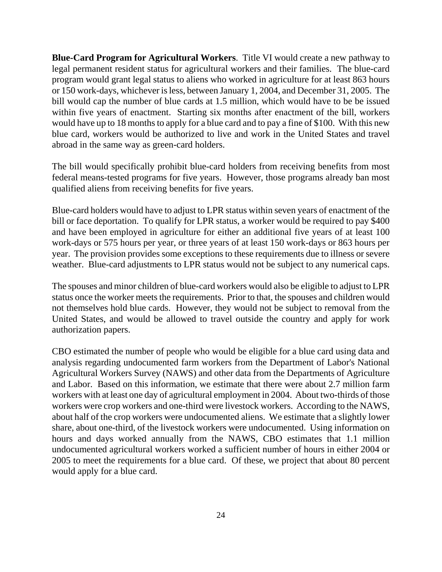**Blue-Card Program for Agricultural Workers**. Title VI would create a new pathway to legal permanent resident status for agricultural workers and their families. The blue-card program would grant legal status to aliens who worked in agriculture for at least 863 hours or 150 work-days, whichever is less, between January 1, 2004, and December 31, 2005. The bill would cap the number of blue cards at 1.5 million, which would have to be be issued within five years of enactment. Starting six months after enactment of the bill, workers would have up to 18 months to apply for a blue card and to pay a fine of \$100. With this new blue card, workers would be authorized to live and work in the United States and travel abroad in the same way as green-card holders.

The bill would specifically prohibit blue-card holders from receiving benefits from most federal means-tested programs for five years. However, those programs already ban most qualified aliens from receiving benefits for five years.

Blue-card holders would have to adjust to LPR status within seven years of enactment of the bill or face deportation. To qualify for LPR status, a worker would be required to pay \$400 and have been employed in agriculture for either an additional five years of at least 100 work-days or 575 hours per year, or three years of at least 150 work-days or 863 hours per year. The provision provides some exceptions to these requirements due to illness or severe weather. Blue-card adjustments to LPR status would not be subject to any numerical caps.

The spouses and minor children of blue-card workers would also be eligible to adjust to LPR status once the worker meets the requirements. Prior to that, the spouses and children would not themselves hold blue cards. However, they would not be subject to removal from the United States, and would be allowed to travel outside the country and apply for work authorization papers.

CBO estimated the number of people who would be eligible for a blue card using data and analysis regarding undocumented farm workers from the Department of Labor's National Agricultural Workers Survey (NAWS) and other data from the Departments of Agriculture and Labor. Based on this information, we estimate that there were about 2.7 million farm workers with at least one day of agricultural employment in 2004. About two-thirds of those workers were crop workers and one-third were livestock workers. According to the NAWS, about half of the crop workers were undocumented aliens. We estimate that a slightly lower share, about one-third, of the livestock workers were undocumented. Using information on hours and days worked annually from the NAWS, CBO estimates that 1.1 million undocumented agricultural workers worked a sufficient number of hours in either 2004 or 2005 to meet the requirements for a blue card. Of these, we project that about 80 percent would apply for a blue card.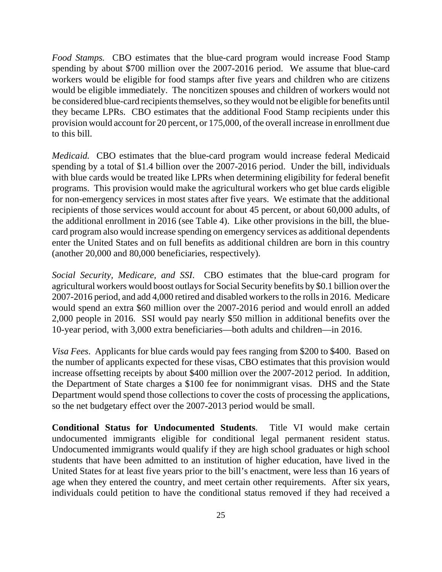*Food Stamps.* CBO estimates that the blue-card program would increase Food Stamp spending by about \$700 million over the 2007-2016 period. We assume that blue-card workers would be eligible for food stamps after five years and children who are citizens would be eligible immediately. The noncitizen spouses and children of workers would not be considered blue-card recipients themselves, so they would not be eligible for benefits until they became LPRs. CBO estimates that the additional Food Stamp recipients under this provision would account for 20 percent, or 175,000, of the overall increase in enrollment due to this bill.

*Medicaid.* CBO estimates that the blue-card program would increase federal Medicaid spending by a total of \$1.4 billion over the 2007-2016 period. Under the bill, individuals with blue cards would be treated like LPRs when determining eligibility for federal benefit programs. This provision would make the agricultural workers who get blue cards eligible for non-emergency services in most states after five years. We estimate that the additional recipients of those services would account for about 45 percent, or about 60,000 adults, of the additional enrollment in 2016 (see Table 4). Like other provisions in the bill, the bluecard program also would increase spending on emergency services as additional dependents enter the United States and on full benefits as additional children are born in this country (another 20,000 and 80,000 beneficiaries, respectively).

*Social Security, Medicare, and SSI*. CBO estimates that the blue-card program for agricultural workers would boost outlays for Social Security benefits by \$0.1 billion over the 2007-2016 period, and add 4,000 retired and disabled workers to the rolls in 2016. Medicare would spend an extra \$60 million over the 2007-2016 period and would enroll an added 2,000 people in 2016. SSI would pay nearly \$50 million in additional benefits over the 10-year period, with 3,000 extra beneficiaries—both adults and children—in 2016.

*Visa Fees*. Applicants for blue cards would pay fees ranging from \$200 to \$400. Based on the number of applicants expected for these visas, CBO estimates that this provision would increase offsetting receipts by about \$400 million over the 2007-2012 period. In addition, the Department of State charges a \$100 fee for nonimmigrant visas. DHS and the State Department would spend those collections to cover the costs of processing the applications, so the net budgetary effect over the 2007-2013 period would be small.

**Conditional Status for Undocumented Students**. Title VI would make certain undocumented immigrants eligible for conditional legal permanent resident status. Undocumented immigrants would qualify if they are high school graduates or high school students that have been admitted to an institution of higher education, have lived in the United States for at least five years prior to the bill's enactment, were less than 16 years of age when they entered the country, and meet certain other requirements. After six years, individuals could petition to have the conditional status removed if they had received a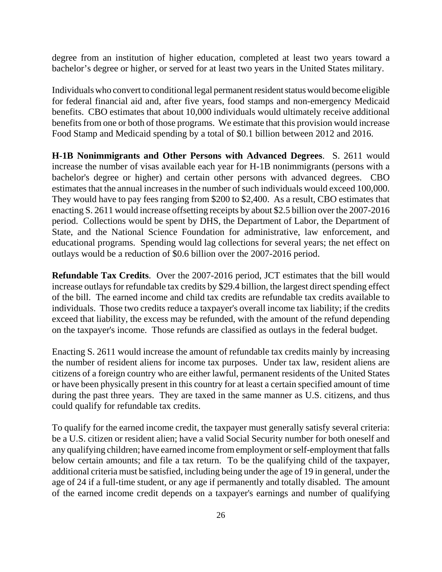degree from an institution of higher education, completed at least two years toward a bachelor's degree or higher, or served for at least two years in the United States military.

Individuals who convert to conditional legal permanent resident status would become eligible for federal financial aid and, after five years, food stamps and non-emergency Medicaid benefits. CBO estimates that about 10,000 individuals would ultimately receive additional benefits from one or both of those programs. We estimate that this provision would increase Food Stamp and Medicaid spending by a total of \$0.1 billion between 2012 and 2016.

**H-1B Nonimmigrants and Other Persons with Advanced Degrees**. S. 2611 would increase the number of visas available each year for H-1B nonimmigrants (persons with a bachelor's degree or higher) and certain other persons with advanced degrees. CBO estimates that the annual increases in the number of such individuals would exceed 100,000. They would have to pay fees ranging from \$200 to \$2,400. As a result, CBO estimates that enacting S. 2611 would increase offsetting receipts by about \$2.5 billion over the 2007-2016 period. Collections would be spent by DHS, the Department of Labor, the Department of State, and the National Science Foundation for administrative, law enforcement, and educational programs. Spending would lag collections for several years; the net effect on outlays would be a reduction of \$0.6 billion over the 2007-2016 period.

**Refundable Tax Credits**. Over the 2007-2016 period, JCT estimates that the bill would increase outlays for refundable tax credits by \$29.4 billion, the largest direct spending effect of the bill. The earned income and child tax credits are refundable tax credits available to individuals. Those two credits reduce a taxpayer's overall income tax liability; if the credits exceed that liability, the excess may be refunded, with the amount of the refund depending on the taxpayer's income. Those refunds are classified as outlays in the federal budget.

Enacting S. 2611 would increase the amount of refundable tax credits mainly by increasing the number of resident aliens for income tax purposes. Under tax law, resident aliens are citizens of a foreign country who are either lawful, permanent residents of the United States or have been physically present in this country for at least a certain specified amount of time during the past three years. They are taxed in the same manner as U.S. citizens, and thus could qualify for refundable tax credits.

To qualify for the earned income credit, the taxpayer must generally satisfy several criteria: be a U.S. citizen or resident alien; have a valid Social Security number for both oneself and any qualifying children; have earned income from employment or self-employment that falls below certain amounts; and file a tax return. To be the qualifying child of the taxpayer, additional criteria must be satisfied, including being under the age of 19 in general, under the age of 24 if a full-time student, or any age if permanently and totally disabled. The amount of the earned income credit depends on a taxpayer's earnings and number of qualifying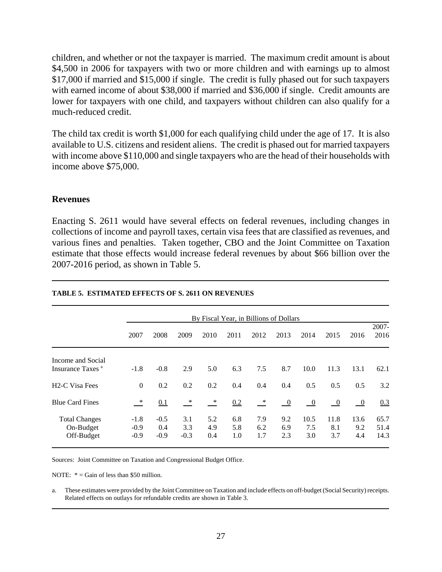children, and whether or not the taxpayer is married. The maximum credit amount is about \$4,500 in 2006 for taxpayers with two or more children and with earnings up to almost \$17,000 if married and \$15,000 if single. The credit is fully phased out for such taxpayers with earned income of about \$38,000 if married and \$36,000 if single. Credit amounts are lower for taxpayers with one child, and taxpayers without children can also qualify for a much-reduced credit.

The child tax credit is worth \$1,000 for each qualifying child under the age of 17. It is also available to U.S. citizens and resident aliens. The credit is phased out for married taxpayers with income above \$110,000 and single taxpayers who are the head of their households with income above \$75,000.

# **Revenues**

Enacting S. 2611 would have several effects on federal revenues, including changes in collections of income and payroll taxes, certain visa fees that are classified as revenues, and various fines and penalties. Taken together, CBO and the Joint Committee on Taxation estimate that those effects would increase federal revenues by about \$66 billion over the 2007-2016 period, as shown in Table 5.

|                                                   |                            | By Fiscal Year, in Billions of Dollars |                         |                   |                   |                   |                            |                    |                           |                          |                      |
|---------------------------------------------------|----------------------------|----------------------------------------|-------------------------|-------------------|-------------------|-------------------|----------------------------|--------------------|---------------------------|--------------------------|----------------------|
|                                                   | 2007                       | 2008                                   | 2009                    | 2010              | 2011              | 2012              | 2013                       | 2014               | 2015                      | 2016                     | $2007 -$<br>2016     |
| Income and Social<br>Insurance Taxes <sup>a</sup> | $-1.8$                     | $-0.8$                                 | 2.9                     | 5.0               | 6.3               | 7.5               | 8.7                        | 10.0               | 11.3                      | 13.1                     | 62.1                 |
| <b>H2-C Visa Fees</b>                             | $\Omega$                   | 0.2                                    | 0.2                     | 0.2               | 0.4               | 0.4               | 0.4                        | 0.5                | 0.5                       | 0.5                      | 3.2                  |
| <b>Blue Card Fines</b>                            | $\ast$                     | 0.1                                    | $\overline{\mathbf{r}}$ | $\ast$            | 0.2               | $\ast$            | $\overline{\phantom{0}}^0$ | $\overline{0}$     | $\overline{\phantom{0}0}$ | $\overline{\phantom{0}}$ | 0.3                  |
| <b>Total Changes</b><br>On-Budget<br>Off-Budget   | $-1.8$<br>$-0.9$<br>$-0.9$ | $-0.5$<br>0.4<br>$-0.9$                | 3.1<br>3.3<br>$-0.3$    | 5.2<br>4.9<br>0.4 | 6.8<br>5.8<br>1.0 | 7.9<br>6.2<br>1.7 | 9.2<br>6.9<br>2.3          | 10.5<br>7.5<br>3.0 | 11.8<br>8.1<br>3.7        | 13.6<br>9.2<br>4.4       | 65.7<br>51.4<br>14.3 |

#### **TABLE 5. ESTIMATED EFFECTS OF S. 2611 ON REVENUES**

Sources: Joint Committee on Taxation and Congressional Budget Office.

NOTE:  $* =$  Gain of less than \$50 million.

a. These estimates were provided by the Joint Committee on Taxation and include effects on off-budget (Social Security) receipts. Related effects on outlays for refundable credits are shown in Table 3.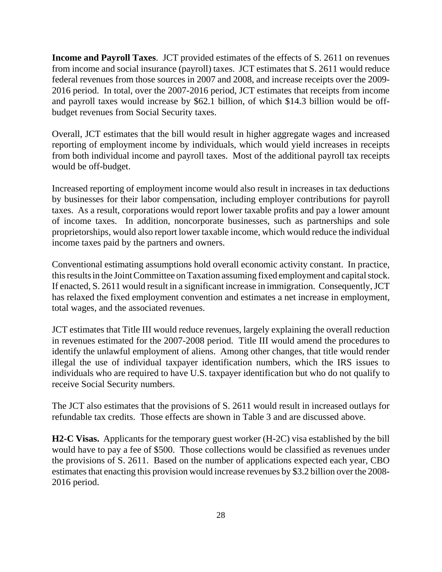**Income and Payroll Taxes**. JCT provided estimates of the effects of S. 2611 on revenues from income and social insurance (payroll) taxes. JCT estimates that S. 2611 would reduce federal revenues from those sources in 2007 and 2008, and increase receipts over the 2009- 2016 period. In total, over the 2007-2016 period, JCT estimates that receipts from income and payroll taxes would increase by \$62.1 billion, of which \$14.3 billion would be offbudget revenues from Social Security taxes.

Overall, JCT estimates that the bill would result in higher aggregate wages and increased reporting of employment income by individuals, which would yield increases in receipts from both individual income and payroll taxes. Most of the additional payroll tax receipts would be off-budget.

Increased reporting of employment income would also result in increases in tax deductions by businesses for their labor compensation, including employer contributions for payroll taxes. As a result, corporations would report lower taxable profits and pay a lower amount of income taxes. In addition, noncorporate businesses, such as partnerships and sole proprietorships, would also report lower taxable income, which would reduce the individual income taxes paid by the partners and owners.

Conventional estimating assumptions hold overall economic activity constant. In practice, this results in the Joint Committee on Taxation assuming fixed employment and capital stock. If enacted, S. 2611 would result in a significant increase in immigration. Consequently, JCT has relaxed the fixed employment convention and estimates a net increase in employment, total wages, and the associated revenues.

JCT estimates that Title III would reduce revenues, largely explaining the overall reduction in revenues estimated for the 2007-2008 period. Title III would amend the procedures to identify the unlawful employment of aliens. Among other changes, that title would render illegal the use of individual taxpayer identification numbers, which the IRS issues to individuals who are required to have U.S. taxpayer identification but who do not qualify to receive Social Security numbers.

The JCT also estimates that the provisions of S. 2611 would result in increased outlays for refundable tax credits. Those effects are shown in Table 3 and are discussed above.

**H2-C Visas.** Applicants for the temporary guest worker (H-2C) visa established by the bill would have to pay a fee of \$500. Those collections would be classified as revenues under the provisions of S. 2611. Based on the number of applications expected each year, CBO estimates that enacting this provision would increase revenues by \$3.2 billion over the 2008- 2016 period.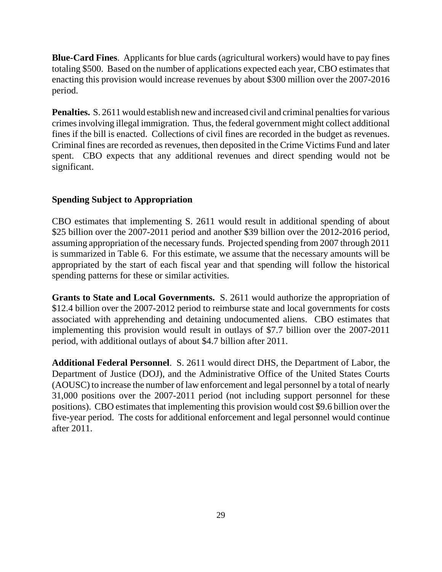**Blue-Card Fines**. Applicants for blue cards (agricultural workers) would have to pay fines totaling \$500. Based on the number of applications expected each year, CBO estimates that enacting this provision would increase revenues by about \$300 million over the 2007-2016 period.

**Penalties.** S. 2611 would establish new and increased civil and criminal penalties for various crimes involving illegal immigration. Thus, the federal government might collect additional fines if the bill is enacted. Collections of civil fines are recorded in the budget as revenues. Criminal fines are recorded as revenues, then deposited in the Crime Victims Fund and later spent. CBO expects that any additional revenues and direct spending would not be significant.

# **Spending Subject to Appropriation**

CBO estimates that implementing S. 2611 would result in additional spending of about \$25 billion over the 2007-2011 period and another \$39 billion over the 2012-2016 period, assuming appropriation of the necessary funds. Projected spending from 2007 through 2011 is summarized in Table 6. For this estimate, we assume that the necessary amounts will be appropriated by the start of each fiscal year and that spending will follow the historical spending patterns for these or similar activities.

**Grants to State and Local Governments.** S. 2611 would authorize the appropriation of \$12.4 billion over the 2007-2012 period to reimburse state and local governments for costs associated with apprehending and detaining undocumented aliens. CBO estimates that implementing this provision would result in outlays of \$7.7 billion over the 2007-2011 period, with additional outlays of about \$4.7 billion after 2011.

**Additional Federal Personnel**. S. 2611 would direct DHS, the Department of Labor, the Department of Justice (DOJ), and the Administrative Office of the United States Courts (AOUSC) to increase the number of law enforcement and legal personnel by a total of nearly 31,000 positions over the 2007-2011 period (not including support personnel for these positions). CBO estimates that implementing this provision would cost \$9.6 billion over the five-year period. The costs for additional enforcement and legal personnel would continue after 2011.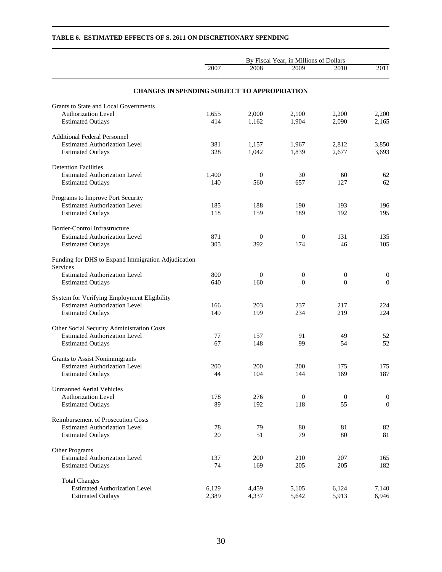|                                                                | By Fiscal Year, in Millions of Dollars |                  |                  |                  |                  |  |  |  |
|----------------------------------------------------------------|----------------------------------------|------------------|------------------|------------------|------------------|--|--|--|
|                                                                | 2007                                   | 2008             | 2009             | 2010             | 2011             |  |  |  |
| <b>CHANGES IN SPENDING SUBJECT TO APPROPRIATION</b>            |                                        |                  |                  |                  |                  |  |  |  |
| Grants to State and Local Governments                          |                                        |                  |                  |                  |                  |  |  |  |
| <b>Authorization Level</b>                                     | 1,655                                  | 2,000            | 2,100            | 2,200            | 2,200            |  |  |  |
| <b>Estimated Outlays</b>                                       | 414                                    | 1,162            | 1,904            | 2,090            | 2,165            |  |  |  |
| <b>Additional Federal Personnel</b>                            |                                        |                  |                  |                  |                  |  |  |  |
| <b>Estimated Authorization Level</b>                           | 381                                    | 1,157            | 1,967            | 2,812            | 3,850            |  |  |  |
| <b>Estimated Outlays</b>                                       | 328                                    | 1,042            | 1,839            | 2,677            | 3,693            |  |  |  |
| <b>Detention Facilities</b>                                    |                                        |                  |                  |                  |                  |  |  |  |
| <b>Estimated Authorization Level</b>                           | 1,400                                  | $\mathbf{0}$     | 30               | 60               | 62               |  |  |  |
| <b>Estimated Outlays</b>                                       | 140                                    | 560              | 657              | 127              | 62               |  |  |  |
| Programs to Improve Port Security                              |                                        |                  |                  |                  |                  |  |  |  |
| <b>Estimated Authorization Level</b>                           | 185                                    | 188              | 190              | 193              | 196              |  |  |  |
| <b>Estimated Outlays</b>                                       | 118                                    | 159              | 189              | 192              | 195              |  |  |  |
| Border-Control Infrastructure                                  |                                        |                  |                  |                  |                  |  |  |  |
| <b>Estimated Authorization Level</b>                           | 871                                    | $\mathbf{0}$     | $\mathbf{0}$     | 131              | 135              |  |  |  |
| <b>Estimated Outlays</b>                                       | 305                                    | 392              | 174              | 46               | 105              |  |  |  |
| Funding for DHS to Expand Immigration Adjudication<br>Services |                                        |                  |                  |                  |                  |  |  |  |
| <b>Estimated Authorization Level</b>                           | 800                                    | $\boldsymbol{0}$ | $\boldsymbol{0}$ | $\boldsymbol{0}$ | $\boldsymbol{0}$ |  |  |  |
| <b>Estimated Outlays</b>                                       | 640                                    | 160              | $\Omega$         | $\Omega$         | $\boldsymbol{0}$ |  |  |  |
| System for Verifying Employment Eligibility                    |                                        |                  |                  |                  |                  |  |  |  |
| <b>Estimated Authorization Level</b>                           | 166                                    | 203              | 237              | 217              | 224              |  |  |  |
| <b>Estimated Outlays</b>                                       | 149                                    | 199              | 234              | 219              | 224              |  |  |  |
| Other Social Security Administration Costs                     |                                        |                  |                  |                  |                  |  |  |  |
| <b>Estimated Authorization Level</b>                           | 77                                     | 157              | 91               | 49               | 52               |  |  |  |
| <b>Estimated Outlays</b>                                       | 67                                     | 148              | 99               | 54               | 52               |  |  |  |
| <b>Grants</b> to Assist Nonimmigrants                          |                                        |                  |                  |                  |                  |  |  |  |
| <b>Estimated Authorization Level</b>                           | 200                                    | 200              | 200              | 175              | 175              |  |  |  |
| <b>Estimated Outlays</b>                                       | 44                                     | 104              | 144              | 169              | 187              |  |  |  |
| <b>Unmanned Aerial Vehicles</b>                                |                                        |                  |                  |                  |                  |  |  |  |
| <b>Authorization Level</b>                                     | 178                                    | 276              | $\mathbf{0}$     | $\mathbf{0}$     | $\boldsymbol{0}$ |  |  |  |
| <b>Estimated Outlays</b>                                       | 89                                     | 192              | 118              | 55               | $\mathbf{0}$     |  |  |  |
| Reimbursement of Prosecution Costs                             |                                        |                  |                  |                  |                  |  |  |  |
| <b>Estimated Authorization Level</b>                           | 78                                     | 79               | 80               | 81               | 82               |  |  |  |
| <b>Estimated Outlays</b>                                       | 20                                     | 51               | 79               | 80               | 81               |  |  |  |
| Other Programs                                                 |                                        |                  |                  |                  |                  |  |  |  |
| <b>Estimated Authorization Level</b>                           | 137                                    | 200              | 210              | 207              | 165              |  |  |  |
| <b>Estimated Outlays</b>                                       | 74                                     | 169              | 205              | 205              | 182              |  |  |  |
| <b>Total Changes</b>                                           |                                        |                  |                  |                  |                  |  |  |  |
| <b>Estimated Authorization Level</b>                           | 6,129                                  | 4,459            | 5,105            | 6,124            | 7,140            |  |  |  |
| <b>Estimated Outlays</b>                                       | 2,389                                  | 4,337            | 5,642            | 5,913            | 6,946            |  |  |  |

#### **TABLE 6. ESTIMATED EFFECTS OF S. 2611 ON DISCRETIONARY SPENDING**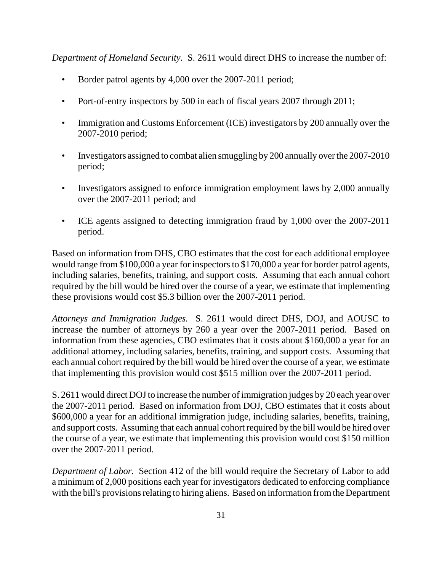*Department of Homeland Security.* S. 2611 would direct DHS to increase the number of:

- Border patrol agents by 4,000 over the 2007-2011 period;
- Port-of-entry inspectors by 500 in each of fiscal years 2007 through 2011;
- Immigration and Customs Enforcement (ICE) investigators by 200 annually over the 2007-2010 period;
- Investigators assigned to combat alien smuggling by 200 annually over the 2007-2010 period;
- Investigators assigned to enforce immigration employment laws by 2,000 annually over the 2007-2011 period; and
- ICE agents assigned to detecting immigration fraud by 1,000 over the 2007-2011 period.

Based on information from DHS, CBO estimates that the cost for each additional employee would range from \$100,000 a year for inspectors to \$170,000 a year for border patrol agents, including salaries, benefits, training, and support costs. Assuming that each annual cohort required by the bill would be hired over the course of a year, we estimate that implementing these provisions would cost \$5.3 billion over the 2007-2011 period.

*Attorneys and Immigration Judges.* S. 2611 would direct DHS, DOJ, and AOUSC to increase the number of attorneys by 260 a year over the 2007-2011 period. Based on information from these agencies, CBO estimates that it costs about \$160,000 a year for an additional attorney, including salaries, benefits, training, and support costs. Assuming that each annual cohort required by the bill would be hired over the course of a year, we estimate that implementing this provision would cost \$515 million over the 2007-2011 period.

S. 2611 would direct DOJ to increase the number of immigration judges by 20 each year over the 2007-2011 period. Based on information from DOJ, CBO estimates that it costs about \$600,000 a year for an additional immigration judge, including salaries, benefits, training, and support costs. Assuming that each annual cohort required by the bill would be hired over the course of a year, we estimate that implementing this provision would cost \$150 million over the 2007-2011 period.

*Department of Labor.* Section 412 of the bill would require the Secretary of Labor to add a minimum of 2,000 positions each year for investigators dedicated to enforcing compliance with the bill's provisions relating to hiring aliens. Based on information from the Department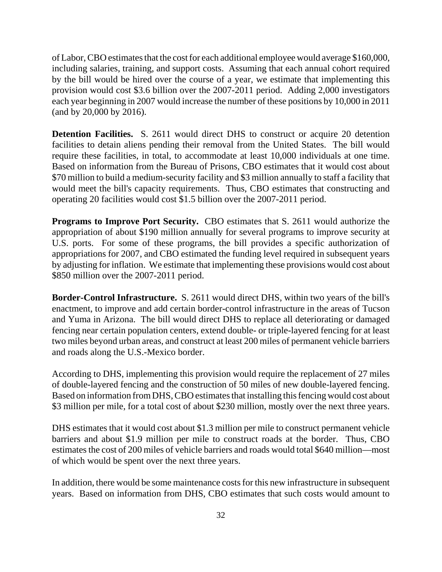of Labor, CBO estimates that the cost for each additional employee would average \$160,000, including salaries, training, and support costs. Assuming that each annual cohort required by the bill would be hired over the course of a year, we estimate that implementing this provision would cost \$3.6 billion over the 2007-2011 period. Adding 2,000 investigators each year beginning in 2007 would increase the number of these positions by 10,000 in 2011 (and by 20,000 by 2016).

**Detention Facilities.** S. 2611 would direct DHS to construct or acquire 20 detention facilities to detain aliens pending their removal from the United States. The bill would require these facilities, in total, to accommodate at least 10,000 individuals at one time. Based on information from the Bureau of Prisons, CBO estimates that it would cost about \$70 million to build a medium-security facility and \$3 million annually to staff a facility that would meet the bill's capacity requirements. Thus, CBO estimates that constructing and operating 20 facilities would cost \$1.5 billion over the 2007-2011 period.

**Programs to Improve Port Security.** CBO estimates that S. 2611 would authorize the appropriation of about \$190 million annually for several programs to improve security at U.S. ports. For some of these programs, the bill provides a specific authorization of appropriations for 2007, and CBO estimated the funding level required in subsequent years by adjusting for inflation. We estimate that implementing these provisions would cost about \$850 million over the 2007-2011 period.

**Border-Control Infrastructure.** S. 2611 would direct DHS, within two years of the bill's enactment, to improve and add certain border-control infrastructure in the areas of Tucson and Yuma in Arizona. The bill would direct DHS to replace all deteriorating or damaged fencing near certain population centers, extend double- or triple-layered fencing for at least two miles beyond urban areas, and construct at least 200 miles of permanent vehicle barriers and roads along the U.S.-Mexico border.

According to DHS, implementing this provision would require the replacement of 27 miles of double-layered fencing and the construction of 50 miles of new double-layered fencing. Based on information from DHS, CBO estimates that installing this fencing would cost about \$3 million per mile, for a total cost of about \$230 million, mostly over the next three years.

DHS estimates that it would cost about \$1.3 million per mile to construct permanent vehicle barriers and about \$1.9 million per mile to construct roads at the border. Thus, CBO estimates the cost of 200 miles of vehicle barriers and roads would total \$640 million—most of which would be spent over the next three years.

In addition, there would be some maintenance costs for this new infrastructure in subsequent years. Based on information from DHS, CBO estimates that such costs would amount to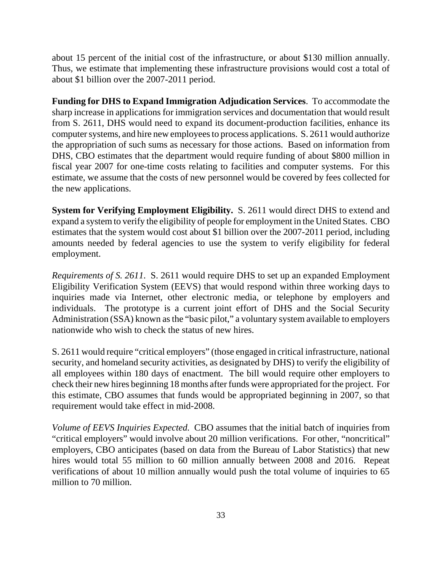about 15 percent of the initial cost of the infrastructure, or about \$130 million annually. Thus, we estimate that implementing these infrastructure provisions would cost a total of about \$1 billion over the 2007-2011 period.

**Funding for DHS to Expand Immigration Adjudication Services**. To accommodate the sharp increase in applications for immigration services and documentation that would result from S. 2611, DHS would need to expand its document-production facilities, enhance its computer systems, and hire new employees to process applications. S. 2611 would authorize the appropriation of such sums as necessary for those actions. Based on information from DHS, CBO estimates that the department would require funding of about \$800 million in fiscal year 2007 for one-time costs relating to facilities and computer systems. For this estimate, we assume that the costs of new personnel would be covered by fees collected for the new applications.

**System for Verifying Employment Eligibility.** S. 2611 would direct DHS to extend and expand a system to verify the eligibility of people for employment in the United States. CBO estimates that the system would cost about \$1 billion over the 2007-2011 period, including amounts needed by federal agencies to use the system to verify eligibility for federal employment.

*Requirements of S. 2611*. S. 2611 would require DHS to set up an expanded Employment Eligibility Verification System (EEVS) that would respond within three working days to inquiries made via Internet, other electronic media, or telephone by employers and individuals. The prototype is a current joint effort of DHS and the Social Security Administration (SSA) known as the "basic pilot," a voluntary system available to employers nationwide who wish to check the status of new hires.

S. 2611 would require "critical employers" (those engaged in critical infrastructure, national security, and homeland security activities, as designated by DHS) to verify the eligibility of all employees within 180 days of enactment. The bill would require other employers to check their new hires beginning 18 months after funds were appropriated for the project. For this estimate, CBO assumes that funds would be appropriated beginning in 2007, so that requirement would take effect in mid-2008.

*Volume of EEVS Inquiries Expected*. CBO assumes that the initial batch of inquiries from "critical employers" would involve about 20 million verifications. For other, "noncritical" employers, CBO anticipates (based on data from the Bureau of Labor Statistics) that new hires would total 55 million to 60 million annually between 2008 and 2016. Repeat verifications of about 10 million annually would push the total volume of inquiries to 65 million to 70 million.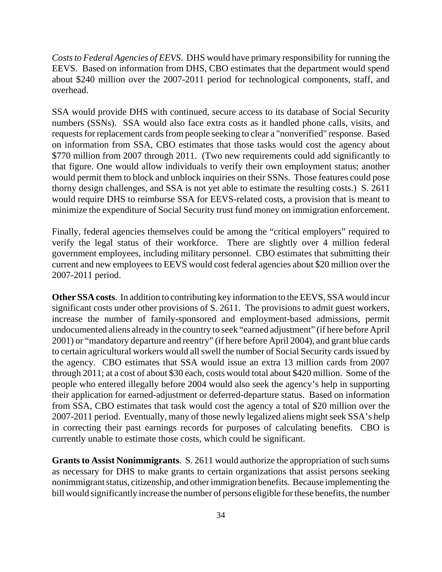*Costs to Federal Agencies of EEVS*. DHS would have primary responsibility for running the EEVS. Based on information from DHS, CBO estimates that the department would spend about \$240 million over the 2007-2011 period for technological components, staff, and overhead.

SSA would provide DHS with continued, secure access to its database of Social Security numbers (SSNs). SSA would also face extra costs as it handled phone calls, visits, and requests for replacement cards from people seeking to clear a "nonverified" response. Based on information from SSA, CBO estimates that those tasks would cost the agency about \$770 million from 2007 through 2011. (Two new requirements could add significantly to that figure. One would allow individuals to verify their own employment status; another would permit them to block and unblock inquiries on their SSNs. Those features could pose thorny design challenges, and SSA is not yet able to estimate the resulting costs.) S. 2611 would require DHS to reimburse SSA for EEVS-related costs, a provision that is meant to minimize the expenditure of Social Security trust fund money on immigration enforcement.

Finally, federal agencies themselves could be among the "critical employers" required to verify the legal status of their workforce. There are slightly over 4 million federal government employees, including military personnel. CBO estimates that submitting their current and new employees to EEVS would cost federal agencies about \$20 million over the 2007-2011 period.

**Other SSA costs**. In addition to contributing key information to the EEVS, SSA would incur significant costs under other provisions of S. 2611. The provisions to admit guest workers, increase the number of family-sponsored and employment-based admissions, permit undocumented aliens already in the country to seek "earned adjustment" (if here before April 2001) or "mandatory departure and reentry" (if here before April 2004), and grant blue cards to certain agricultural workers would all swell the number of Social Security cards issued by the agency. CBO estimates that SSA would issue an extra 13 million cards from 2007 through 2011; at a cost of about \$30 each, costs would total about \$420 million. Some of the people who entered illegally before 2004 would also seek the agency's help in supporting their application for earned-adjustment or deferred-departure status. Based on information from SSA, CBO estimates that task would cost the agency a total of \$20 million over the 2007-2011 period. Eventually, many of those newly legalized aliens might seek SSA's help in correcting their past earnings records for purposes of calculating benefits. CBO is currently unable to estimate those costs, which could be significant.

**Grants to Assist Nonimmigrants***.* S. 2611 would authorize the appropriation of such sums as necessary for DHS to make grants to certain organizations that assist persons seeking nonimmigrant status, citizenship, and other immigration benefits. Because implementing the bill would significantly increase the number of persons eligible for these benefits, the number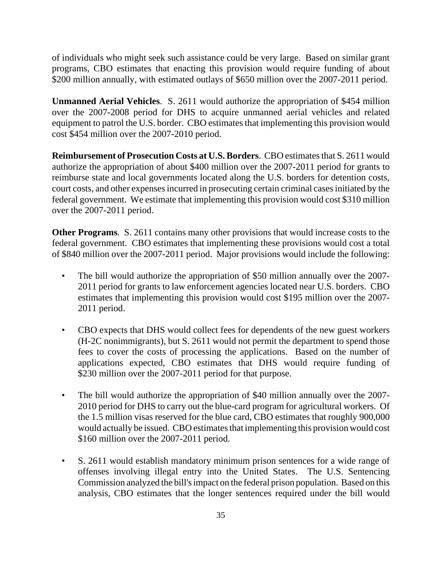of individuals who might seek such assistance could be very large. Based on similar grant programs, CBO estimates that enacting this provision would require funding of about \$200 million annually, with estimated outlays of \$650 million over the 2007-2011 period.

**Unmanned Aerial Vehicles**. S. 2611 would authorize the appropriation of \$454 million over the 2007-2008 period for DHS to acquire unmanned aerial vehicles and related equipment to patrol the U.S. border. CBO estimates that implementing this provision would cost \$454 million over the 2007-2010 period.

**Reimbursement of Prosecution Costs at U.S. Borders**. CBO estimates that S. 2611 would authorize the appropriation of about \$400 million over the 2007-2011 period for grants to reimburse state and local governments located along the U.S. borders for detention costs, court costs, and other expenses incurred in prosecuting certain criminal cases initiated by the federal government. We estimate that implementing this provision would cost \$310 million over the 2007-2011 period.

**Other Programs***.* S. 2611 contains many other provisions that would increase costs to the federal government. CBO estimates that implementing these provisions would cost a total of \$840 million over the 2007-2011 period. Major provisions would include the following:

- The bill would authorize the appropriation of \$50 million annually over the 2007- 2011 period for grants to law enforcement agencies located near U.S. borders. CBO estimates that implementing this provision would cost \$195 million over the 2007- 2011 period.
- CBO expects that DHS would collect fees for dependents of the new guest workers (H-2C nonimmigrants), but S. 2611 would not permit the department to spend those fees to cover the costs of processing the applications. Based on the number of applications expected, CBO estimates that DHS would require funding of \$230 million over the 2007-2011 period for that purpose.
- The bill would authorize the appropriation of \$40 million annually over the 2007- 2010 period for DHS to carry out the blue-card program for agricultural workers. Of the 1.5 million visas reserved for the blue card, CBO estimates that roughly 900,000 would actually be issued. CBO estimates that implementing this provision would cost \$160 million over the 2007-2011 period.
- S. 2611 would establish mandatory minimum prison sentences for a wide range of offenses involving illegal entry into the United States. The U.S. Sentencing Commission analyzed the bill's impact on the federal prison population. Based on this analysis, CBO estimates that the longer sentences required under the bill would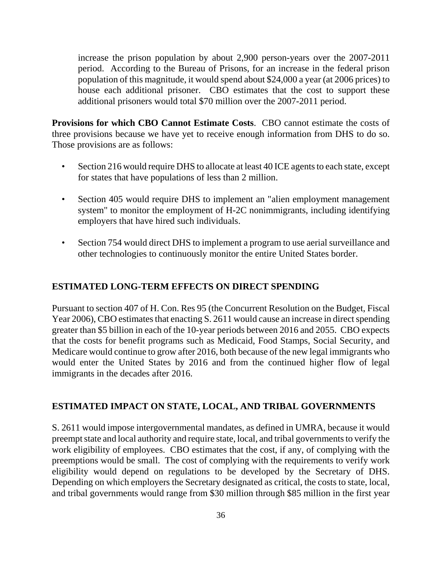increase the prison population by about 2,900 person-years over the 2007-2011 period. According to the Bureau of Prisons, for an increase in the federal prison population of this magnitude, it would spend about \$24,000 a year (at 2006 prices) to house each additional prisoner. CBO estimates that the cost to support these additional prisoners would total \$70 million over the 2007-2011 period.

**Provisions for which CBO Cannot Estimate Costs**. CBO cannot estimate the costs of three provisions because we have yet to receive enough information from DHS to do so. Those provisions are as follows:

- Section 216 would require DHS to allocate at least 40 ICE agents to each state, except for states that have populations of less than 2 million.
- Section 405 would require DHS to implement an "alien employment management" system" to monitor the employment of H-2C nonimmigrants, including identifying employers that have hired such individuals.
- Section 754 would direct DHS to implement a program to use aerial surveillance and other technologies to continuously monitor the entire United States border.

# **ESTIMATED LONG-TERM EFFECTS ON DIRECT SPENDING**

Pursuant to section 407 of H. Con. Res 95 (the Concurrent Resolution on the Budget, Fiscal Year 2006), CBO estimates that enacting S. 2611 would cause an increase in direct spending greater than \$5 billion in each of the 10-year periods between 2016 and 2055. CBO expects that the costs for benefit programs such as Medicaid, Food Stamps, Social Security, and Medicare would continue to grow after 2016, both because of the new legal immigrants who would enter the United States by 2016 and from the continued higher flow of legal immigrants in the decades after 2016.

# **ESTIMATED IMPACT ON STATE, LOCAL, AND TRIBAL GOVERNMENTS**

S. 2611 would impose intergovernmental mandates, as defined in UMRA, because it would preempt state and local authority and require state, local, and tribal governments to verify the work eligibility of employees. CBO estimates that the cost, if any, of complying with the preemptions would be small. The cost of complying with the requirements to verify work eligibility would depend on regulations to be developed by the Secretary of DHS. Depending on which employers the Secretary designated as critical, the costs to state, local, and tribal governments would range from \$30 million through \$85 million in the first year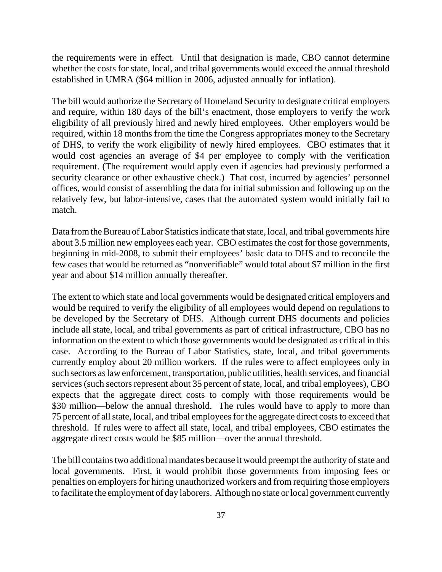the requirements were in effect. Until that designation is made, CBO cannot determine whether the costs for state, local, and tribal governments would exceed the annual threshold established in UMRA (\$64 million in 2006, adjusted annually for inflation).

The bill would authorize the Secretary of Homeland Security to designate critical employers and require, within 180 days of the bill's enactment, those employers to verify the work eligibility of all previously hired and newly hired employees. Other employers would be required, within 18 months from the time the Congress appropriates money to the Secretary of DHS, to verify the work eligibility of newly hired employees. CBO estimates that it would cost agencies an average of \$4 per employee to comply with the verification requirement. (The requirement would apply even if agencies had previously performed a security clearance or other exhaustive check.) That cost, incurred by agencies' personnel offices, would consist of assembling the data for initial submission and following up on the relatively few, but labor-intensive, cases that the automated system would initially fail to match.

Data from the Bureau of Labor Statistics indicate that state, local, and tribal governments hire about 3.5 million new employees each year. CBO estimates the cost for those governments, beginning in mid-2008, to submit their employees' basic data to DHS and to reconcile the few cases that would be returned as "nonverifiable" would total about \$7 million in the first year and about \$14 million annually thereafter.

The extent to which state and local governments would be designated critical employers and would be required to verify the eligibility of all employees would depend on regulations to be developed by the Secretary of DHS. Although current DHS documents and policies include all state, local, and tribal governments as part of critical infrastructure, CBO has no information on the extent to which those governments would be designated as critical in this case. According to the Bureau of Labor Statistics, state, local, and tribal governments currently employ about 20 million workers. If the rules were to affect employees only in such sectors as law enforcement, transportation, public utilities, health services, and financial services (such sectors represent about 35 percent of state, local, and tribal employees), CBO expects that the aggregate direct costs to comply with those requirements would be \$30 million—below the annual threshold. The rules would have to apply to more than 75 percent of all state, local, and tribal employees for the aggregate direct costs to exceed that threshold. If rules were to affect all state, local, and tribal employees, CBO estimates the aggregate direct costs would be \$85 million—over the annual threshold.

The bill contains two additional mandates because it would preempt the authority of state and local governments. First, it would prohibit those governments from imposing fees or penalties on employers for hiring unauthorized workers and from requiring those employers to facilitate the employment of day laborers. Although no state or local government currently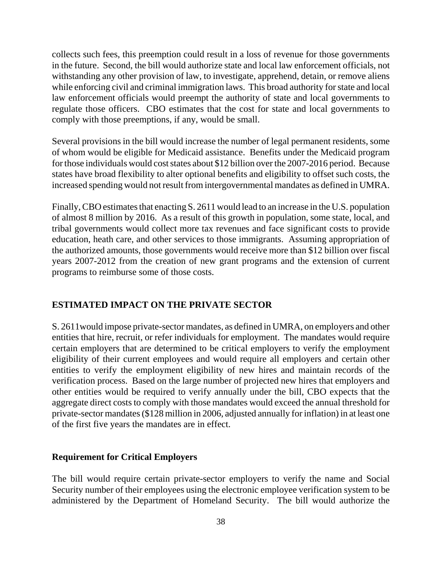collects such fees, this preemption could result in a loss of revenue for those governments in the future. Second, the bill would authorize state and local law enforcement officials, not withstanding any other provision of law, to investigate, apprehend, detain, or remove aliens while enforcing civil and criminal immigration laws. This broad authority for state and local law enforcement officials would preempt the authority of state and local governments to regulate those officers. CBO estimates that the cost for state and local governments to comply with those preemptions, if any, would be small.

Several provisions in the bill would increase the number of legal permanent residents, some of whom would be eligible for Medicaid assistance. Benefits under the Medicaid program for those individuals would cost states about \$12 billion over the 2007-2016 period. Because states have broad flexibility to alter optional benefits and eligibility to offset such costs, the increased spending would not result from intergovernmental mandates as defined in UMRA.

Finally, CBO estimates that enacting S. 2611 would lead to an increase in the U.S. population of almost 8 million by 2016. As a result of this growth in population, some state, local, and tribal governments would collect more tax revenues and face significant costs to provide education, heath care, and other services to those immigrants. Assuming appropriation of the authorized amounts, those governments would receive more than \$12 billion over fiscal years 2007-2012 from the creation of new grant programs and the extension of current programs to reimburse some of those costs.

# **ESTIMATED IMPACT ON THE PRIVATE SECTOR**

S. 2611would impose private-sector mandates, as defined in UMRA, on employers and other entities that hire, recruit, or refer individuals for employment. The mandates would require certain employers that are determined to be critical employers to verify the employment eligibility of their current employees and would require all employers and certain other entities to verify the employment eligibility of new hires and maintain records of the verification process. Based on the large number of projected new hires that employers and other entities would be required to verify annually under the bill, CBO expects that the aggregate direct costs to comply with those mandates would exceed the annual threshold for private-sector mandates (\$128 million in 2006, adjusted annually for inflation) in at least one of the first five years the mandates are in effect.

### **Requirement for Critical Employers**

The bill would require certain private-sector employers to verify the name and Social Security number of their employees using the electronic employee verification system to be administered by the Department of Homeland Security. The bill would authorize the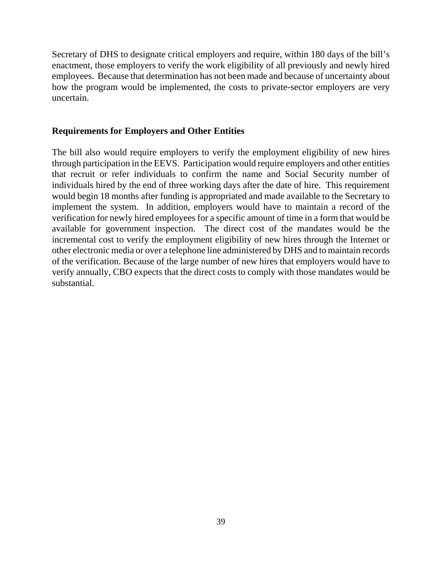Secretary of DHS to designate critical employers and require, within 180 days of the bill's enactment, those employers to verify the work eligibility of all previously and newly hired employees. Because that determination has not been made and because of uncertainty about how the program would be implemented, the costs to private-sector employers are very uncertain.

### **Requirements for Employers and Other Entities**

The bill also would require employers to verify the employment eligibility of new hires through participation in the EEVS. Participation would require employers and other entities that recruit or refer individuals to confirm the name and Social Security number of individuals hired by the end of three working days after the date of hire. This requirement would begin 18 months after funding is appropriated and made available to the Secretary to implement the system. In addition, employers would have to maintain a record of the verification for newly hired employees for a specific amount of time in a form that would be available for government inspection. The direct cost of the mandates would be the incremental cost to verify the employment eligibility of new hires through the Internet or other electronic media or over a telephone line administered by DHS and to maintain records of the verification. Because of the large number of new hires that employers would have to verify annually, CBO expects that the direct costs to comply with those mandates would be substantial.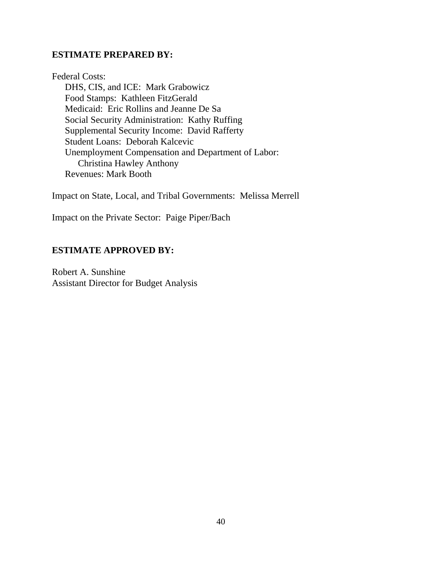# **ESTIMATE PREPARED BY:**

Federal Costs: DHS, CIS, and ICE: Mark Grabowicz Food Stamps: Kathleen FitzGerald Medicaid: Eric Rollins and Jeanne De Sa Social Security Administration: Kathy Ruffing Supplemental Security Income: David Rafferty Student Loans: Deborah Kalcevic Unemployment Compensation and Department of Labor: Christina Hawley Anthony Revenues: Mark Booth

Impact on State, Local, and Tribal Governments: Melissa Merrell

Impact on the Private Sector: Paige Piper/Bach

# **ESTIMATE APPROVED BY:**

Robert A. Sunshine Assistant Director for Budget Analysis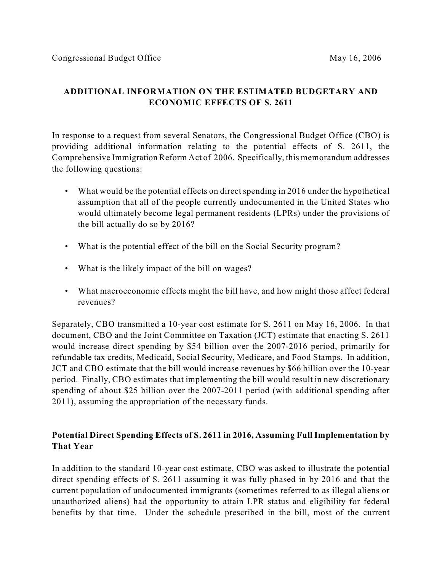# **ADDITIONAL INFORMATION ON THE ESTIMATED BUDGETARY AND ECONOMIC EFFECTS OF S. 2611**

In response to a request from several Senators, the Congressional Budget Office (CBO) is providing additional information relating to the potential effects of S. 2611, the Comprehensive Immigration Reform Act of 2006. Specifically, this memorandum addresses the following questions:

- What would be the potential effects on direct spending in 2016 under the hypothetical assumption that all of the people currently undocumented in the United States who would ultimately become legal permanent residents (LPRs) under the provisions of the bill actually do so by 2016?
- What is the potential effect of the bill on the Social Security program?
- What is the likely impact of the bill on wages?
- What macroeconomic effects might the bill have, and how might those affect federal revenues?

Separately, CBO transmitted a 10-year cost estimate for S. 2611 on May 16, 2006. In that document, CBO and the Joint Committee on Taxation (JCT) estimate that enacting S. 2611 would increase direct spending by \$54 billion over the 2007-2016 period, primarily for refundable tax credits, Medicaid, Social Security, Medicare, and Food Stamps. In addition, JCT and CBO estimate that the bill would increase revenues by \$66 billion over the 10-year period. Finally, CBO estimates that implementing the bill would result in new discretionary spending of about \$25 billion over the 2007-2011 period (with additional spending after 2011), assuming the appropriation of the necessary funds.

# **Potential Direct Spending Effects of S. 2611 in 2016, Assuming Full Implementation by That Year**

In addition to the standard 10-year cost estimate, CBO was asked to illustrate the potential direct spending effects of S. 2611 assuming it was fully phased in by 2016 and that the current population of undocumented immigrants (sometimes referred to as illegal aliens or unauthorized aliens) had the opportunity to attain LPR status and eligibility for federal benefits by that time. Under the schedule prescribed in the bill, most of the current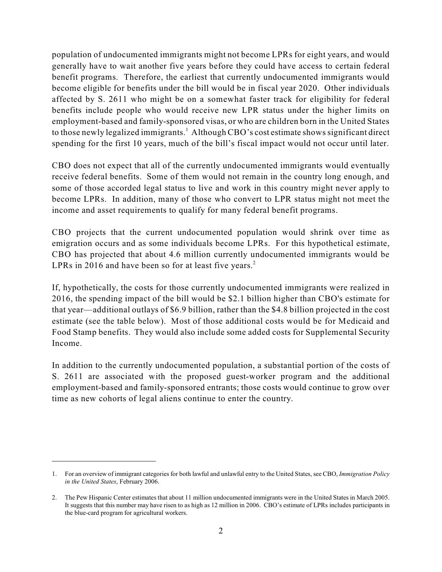population of undocumented immigrants might not become LPRs for eight years, and would generally have to wait another five years before they could have access to certain federal benefit programs. Therefore, the earliest that currently undocumented immigrants would become eligible for benefits under the bill would be in fiscal year 2020. Other individuals affected by S. 2611 who might be on a somewhat faster track for eligibility for federal benefits include people who would receive new LPR status under the higher limits on employment-based and family-sponsored visas, or who are children born in the United States to those newly legalized immigrants.<sup>1</sup> Although CBO's cost estimate shows significant direct spending for the first 10 years, much of the bill's fiscal impact would not occur until later.

CBO does not expect that all of the currently undocumented immigrants would eventually receive federal benefits. Some of them would not remain in the country long enough, and some of those accorded legal status to live and work in this country might never apply to become LPRs. In addition, many of those who convert to LPR status might not meet the income and asset requirements to qualify for many federal benefit programs.

CBO projects that the current undocumented population would shrink over time as emigration occurs and as some individuals become LPRs. For this hypothetical estimate, CBO has projected that about 4.6 million currently undocumented immigrants would be LPRs in 2016 and have been so for at least five years.<sup>2</sup>

If, hypothetically, the costs for those currently undocumented immigrants were realized in 2016, the spending impact of the bill would be \$2.1 billion higher than CBO's estimate for that year—additional outlays of \$6.9 billion, rather than the \$4.8 billion projected in the cost estimate (see the table below). Most of those additional costs would be for Medicaid and Food Stamp benefits. They would also include some added costs for Supplemental Security Income.

In addition to the currently undocumented population, a substantial portion of the costs of S. 2611 are associated with the proposed guest-worker program and the additional employment-based and family-sponsored entrants; those costs would continue to grow over time as new cohorts of legal aliens continue to enter the country.

<sup>1.</sup> For an overview of immigrant categories for both lawful and unlawful entry to the United States, see CBO, *Immigration Policy in the United States*, February 2006.

<sup>2.</sup> The Pew Hispanic Center estimates that about 11 million undocumented immigrants were in the United States in March 2005. It suggests that this number may have risen to as high as 12 million in 2006. CBO's estimate of LPRs includes participants in the blue-card program for agricultural workers.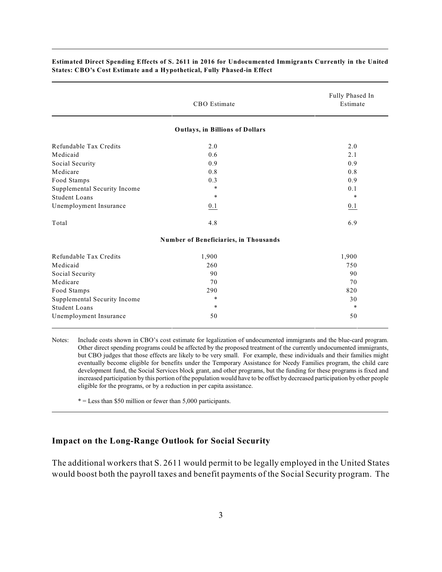|                              | CBO Estimate                           |         |  |  |  |  |
|------------------------------|----------------------------------------|---------|--|--|--|--|
|                              | <b>Outlays, in Billions of Dollars</b> |         |  |  |  |  |
| Refundable Tax Credits       | 2.0                                    | 2.0     |  |  |  |  |
| Medicaid                     | 0.6                                    | 2.1     |  |  |  |  |
| Social Security              | 0.9                                    | 0.9     |  |  |  |  |
| Medicare                     | 0.8                                    | 0.8     |  |  |  |  |
| Food Stamps                  | 0.3                                    | 0.9     |  |  |  |  |
| Supplemental Security Income | $\ast$                                 | 0.1     |  |  |  |  |
| <b>Student Loans</b>         | $\ast$                                 | $\star$ |  |  |  |  |
| Unemployment Insurance       | 0.1                                    | 0.1     |  |  |  |  |
| Total                        | 4.8                                    | 6.9     |  |  |  |  |
|                              | Number of Beneficiaries, in Thousands  |         |  |  |  |  |
| Refundable Tax Credits       | 1,900                                  | 1,900   |  |  |  |  |
| Medicaid                     | 260                                    | 750     |  |  |  |  |
| Social Security              | 90                                     | 90      |  |  |  |  |
| Medicare                     | 70                                     | 70      |  |  |  |  |
| Food Stamps                  | 290                                    | 820     |  |  |  |  |
| Supplemental Security Income | $\ast$                                 | 30      |  |  |  |  |
| <b>Student Loans</b>         | $\star$                                | $\star$ |  |  |  |  |
| Unemployment Insurance       | 50                                     | 50      |  |  |  |  |

#### **Estimated Direct Spending Effects of S. 2611 in 2016 for Undocumented Immigrants Currently in the United States: CBO's Cost Estimate and a Hypothetical, Fully Phased-in Effect**

Notes: Include costs shown in CBO's cost estimate for legalization of undocumented immigrants and the blue-card program. Other direct spending programs could be affected by the proposed treatment of the currently undocumented immigrants, but CBO judges that those effects are likely to be very small. For example, these individuals and their families might eventually become eligible for benefits under the Temporary Assistance for Needy Families program, the child care development fund, the Social Services block grant, and other programs, but the funding for these programs is fixed and increased participation by this portion of the population would have to be offset by decreased participation by other people eligible for the programs, or by a reduction in per capita assistance.

 $* =$  Less than \$50 million or fewer than 5,000 participants.

#### **Impact on the Long-Range Outlook for Social Security**

The additional workers that S. 2611 would permit to be legally employed in the United States would boost both the payroll taxes and benefit payments of the Social Security program. The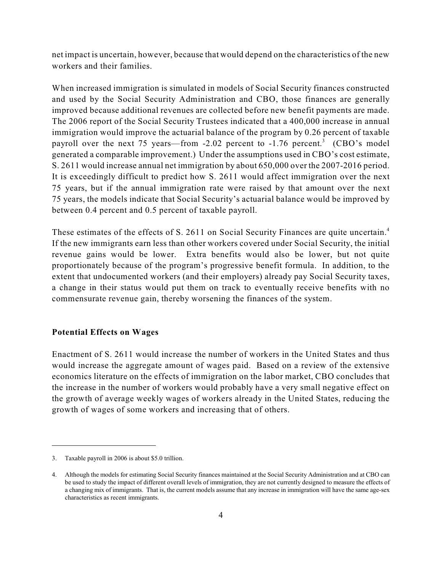net impact is uncertain, however, because that would depend on the characteristics of the new workers and their families.

When increased immigration is simulated in models of Social Security finances constructed and used by the Social Security Administration and CBO, those finances are generally improved because additional revenues are collected before new benefit payments are made. The 2006 report of the Social Security Trustees indicated that a 400,000 increase in annual immigration would improve the actuarial balance of the program by 0.26 percent of taxable payroll over the next 75 years—from  $-2.02$  percent to  $-1.76$  percent.<sup>3</sup> (CBO's model generated a comparable improvement.) Under the assumptions used in CBO's cost estimate, S. 2611 would increase annual net immigration by about 650,000 over the 2007-2016 period. It is exceedingly difficult to predict how S. 2611 would affect immigration over the next 75 years, but if the annual immigration rate were raised by that amount over the next 75 years, the models indicate that Social Security's actuarial balance would be improved by between 0.4 percent and 0.5 percent of taxable payroll.

These estimates of the effects of S. 2611 on Social Security Finances are quite uncertain.<sup>4</sup> If the new immigrants earn less than other workers covered under Social Security, the initial revenue gains would be lower. Extra benefits would also be lower, but not quite proportionately because of the program's progressive benefit formula. In addition, to the extent that undocumented workers (and their employers) already pay Social Security taxes, a change in their status would put them on track to eventually receive benefits with no commensurate revenue gain, thereby worsening the finances of the system.

#### **Potential Effects on Wages**

Enactment of S. 2611 would increase the number of workers in the United States and thus would increase the aggregate amount of wages paid. Based on a review of the extensive economics literature on the effects of immigration on the labor market, CBO concludes that the increase in the number of workers would probably have a very small negative effect on the growth of average weekly wages of workers already in the United States, reducing the growth of wages of some workers and increasing that of others.

<sup>3.</sup> Taxable payroll in 2006 is about \$5.0 trillion.

<sup>4.</sup> Although the models for estimating Social Security finances maintained at the Social Security Administration and at CBO can be used to study the impact of different overall levels of immigration, they are not currently designed to measure the effects of a changing mix of immigrants. That is, the current models assume that any increase in immigration will have the same age-sex characteristics as recent immigrants.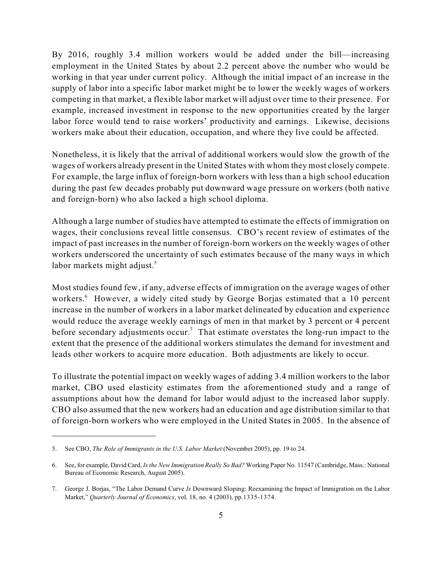By 2016, roughly 3.4 million workers would be added under the bill—increasing employment in the United States by about 2.2 percent above the number who would be working in that year under current policy. Although the initial impact of an increase in the supply of labor into a specific labor market might be to lower the weekly wages of workers competing in that market, a flexible labor market will adjust over time to their presence. For example, increased investment in response to the new opportunities created by the larger labor force would tend to raise workers' productivity and earnings. Likewise, decisions workers make about their education, occupation, and where they live could be affected.

Nonetheless, it is likely that the arrival of additional workers would slow the growth of the wages of workers already present in the United States with whom they most closely compete. For example, the large influx of foreign-born workers with less than a high school education during the past few decades probably put downward wage pressure on workers (both native and foreign-born) who also lacked a high school diploma.

Although a large number of studies have attempted to estimate the effects of immigration on wages, their conclusions reveal little consensus. CBO's recent review of estimates of the impact of past increases in the number of foreign-born workers on the weekly wages of other workers underscored the uncertainty of such estimates because of the many ways in which labor markets might adjust.<sup>5</sup>

Most studies found few, if any, adverse effects of immigration on the average wages of other workers.<sup>6</sup> However, a widely cited study by George Borjas estimated that a 10 percent increase in the number of workers in a labor market delineated by education and experience would reduce the average weekly earnings of men in that market by 3 percent or 4 percent before secondary adjustments occur.<sup>7</sup> That estimate overstates the long-run impact to the extent that the presence of the additional workers stimulates the demand for investment and leads other workers to acquire more education. Both adjustments are likely to occur.

To illustrate the potential impact on weekly wages of adding 3.4 million workers to the labor market, CBO used elasticity estimates from the aforementioned study and a range of assumptions about how the demand for labor would adjust to the increased labor supply. CBO also assumed that the new workers had an education and age distribution similar to that of foreign-born workers who were employed in the United States in 2005. In the absence of

<sup>5.</sup> See CBO, *The Role of Immigrants in the U.S. Labor Market* (November 2005), pp. 19 to 24.

<sup>6.</sup> See, for example, David Card, *Is the New Immigration Really So Bad?* Working Paper No. 11547 (Cambridge, Mass.: National Bureau of Economic Research, August 2005).

<sup>7.</sup> George J. Borjas, "The Labor Demand Curve *Is* Downward Sloping: Reexamining the Impact of Immigration on the Labor Market," *Quarterly Journal of Economics*, vol. 18, no. 4 (2003), pp.1335-1374.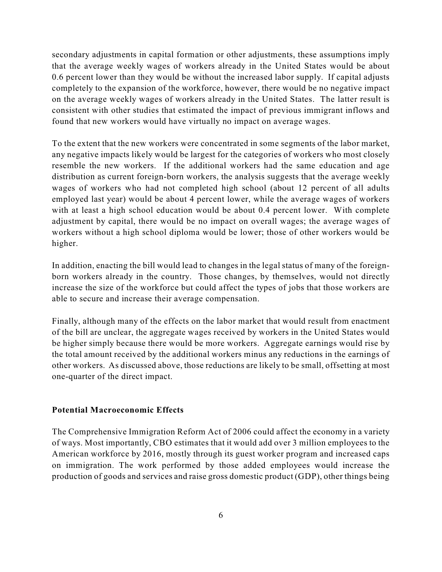secondary adjustments in capital formation or other adjustments, these assumptions imply that the average weekly wages of workers already in the United States would be about 0.6 percent lower than they would be without the increased labor supply. If capital adjusts completely to the expansion of the workforce, however, there would be no negative impact on the average weekly wages of workers already in the United States. The latter result is consistent with other studies that estimated the impact of previous immigrant inflows and found that new workers would have virtually no impact on average wages.

To the extent that the new workers were concentrated in some segments of the labor market, any negative impacts likely would be largest for the categories of workers who most closely resemble the new workers. If the additional workers had the same education and age distribution as current foreign-born workers, the analysis suggests that the average weekly wages of workers who had not completed high school (about 12 percent of all adults employed last year) would be about 4 percent lower, while the average wages of workers with at least a high school education would be about 0.4 percent lower. With complete adjustment by capital, there would be no impact on overall wages; the average wages of workers without a high school diploma would be lower; those of other workers would be higher.

In addition, enacting the bill would lead to changes in the legal status of many of the foreignborn workers already in the country. Those changes, by themselves, would not directly increase the size of the workforce but could affect the types of jobs that those workers are able to secure and increase their average compensation.

Finally, although many of the effects on the labor market that would result from enactment of the bill are unclear, the aggregate wages received by workers in the United States would be higher simply because there would be more workers. Aggregate earnings would rise by the total amount received by the additional workers minus any reductions in the earnings of other workers. As discussed above, those reductions are likely to be small, offsetting at most one-quarter of the direct impact.

#### **Potential Macroeconomic Effects**

The Comprehensive Immigration Reform Act of 2006 could affect the economy in a variety of ways. Most importantly, CBO estimates that it would add over 3 million employees to the American workforce by 2016, mostly through its guest worker program and increased caps on immigration. The work performed by those added employees would increase the production of goods and services and raise gross domestic product (GDP), other things being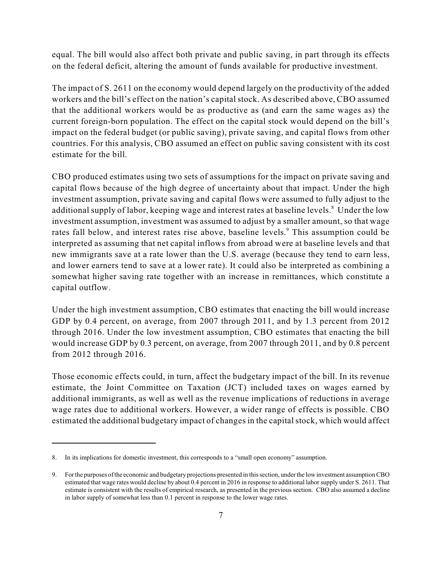equal. The bill would also affect both private and public saving, in part through its effects on the federal deficit, altering the amount of funds available for productive investment.

The impact of S. 2611 on the economy would depend largely on the productivity of the added workers and the bill's effect on the nation's capital stock. As described above, CBO assumed that the additional workers would be as productive as (and earn the same wages as) the current foreign-born population. The effect on the capital stock would depend on the bill's impact on the federal budget (or public saving), private saving, and capital flows from other countries. For this analysis, CBO assumed an effect on public saving consistent with its cost estimate for the bill.

CBO produced estimates using two sets of assumptions for the impact on private saving and capital flows because of the high degree of uncertainty about that impact. Under the high investment assumption, private saving and capital flows were assumed to fully adjust to the additional supply of labor, keeping wage and interest rates at baseline levels.<sup>8</sup> Under the low investment assumption, investment was assumed to adjust by a smaller amount, so that wage rates fall below, and interest rates rise above, baseline levels.<sup>9</sup> This assumption could be interpreted as assuming that net capital inflows from abroad were at baseline levels and that new immigrants save at a rate lower than the U.S. average (because they tend to earn less, and lower earners tend to save at a lower rate). It could also be interpreted as combining a somewhat higher saving rate together with an increase in remittances, which constitute a capital outflow.

Under the high investment assumption, CBO estimates that enacting the bill would increase GDP by 0.4 percent, on average, from 2007 through 2011, and by 1.3 percent from 2012 through 2016. Under the low investment assumption, CBO estimates that enacting the bill would increase GDP by 0.3 percent, on average, from 2007 through 2011, and by 0.8 percent from 2012 through 2016.

Those economic effects could, in turn, affect the budgetary impact of the bill. In its revenue estimate, the Joint Committee on Taxation (JCT) included taxes on wages earned by additional immigrants, as well as well as the revenue implications of reductions in average wage rates due to additional workers. However, a wider range of effects is possible. CBO estimated the additional budgetary impact of changes in the capital stock, which would affect

<sup>8.</sup> In its implications for domestic investment, this corresponds to a "small open economy" assumption.

<sup>9.</sup> For the purposes of the economic and budgetary projections presented in this section, under the low investment assumption CBO estimated that wage rates would decline by about 0.4 percent in 2016 in response to additional labor supply under S. 2611. That estimate is consistent with the results of empirical research, as presented in the previous section. CBO also assumed a decline in labor supply of somewhat less than 0.1 percent in response to the lower wage rates.